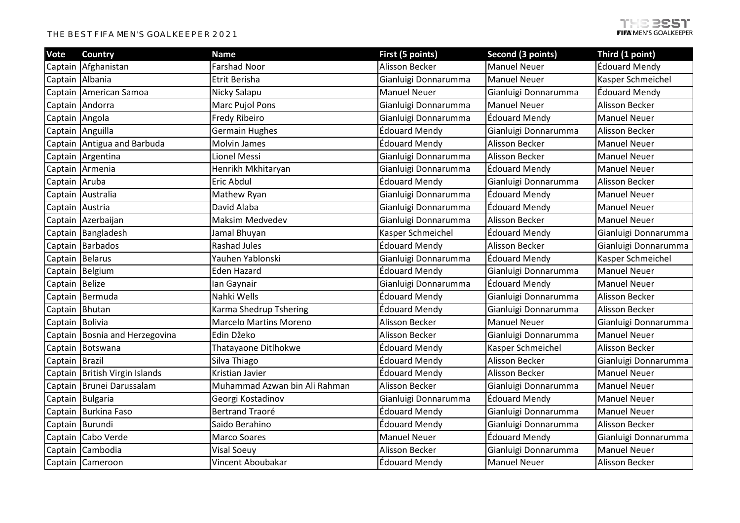## THE BEST FIFA MEN'S GOALKEEPER 2021

| Vote            | <b>Country</b>                 | <b>Name</b>                   | First (5 points)     | Second (3 points)     | Third (1 point)       |
|-----------------|--------------------------------|-------------------------------|----------------------|-----------------------|-----------------------|
|                 | Captain Afghanistan            | <b>Farshad Noor</b>           | Alisson Becker       | <b>Manuel Neuer</b>   | Édouard Mendy         |
|                 | Captain Albania                | Etrit Berisha                 | Gianluigi Donnarumma | <b>Manuel Neuer</b>   | Kasper Schmeichel     |
|                 | Captain American Samoa         | Nicky Salapu                  | <b>Manuel Neuer</b>  | Gianluigi Donnarumma  | Édouard Mendy         |
|                 | Captain Andorra                | <b>Marc Pujol Pons</b>        | Gianluigi Donnarumma | <b>Manuel Neuer</b>   | Alisson Becker        |
| Captain Angola  |                                | <b>Fredy Ribeiro</b>          | Gianluigi Donnarumma | <b>Édouard Mendy</b>  | <b>Manuel Neuer</b>   |
|                 | Captain Anguilla               | <b>Germain Hughes</b>         | Édouard Mendy        | Gianluigi Donnarumma  | Alisson Becker        |
|                 | Captain Antigua and Barbuda    | <b>Molvin James</b>           | Édouard Mendy        | Alisson Becker        | <b>Manuel Neuer</b>   |
|                 | Captain Argentina              | Lionel Messi                  | Gianluigi Donnarumma | <b>Alisson Becker</b> | <b>Manuel Neuer</b>   |
|                 | Captain Armenia                | Henrikh Mkhitaryan            | Gianluigi Donnarumma | Édouard Mendy         | <b>Manuel Neuer</b>   |
| Captain Aruba   |                                | Eric Abdul                    | Édouard Mendy        | Gianluigi Donnarumma  | Alisson Becker        |
|                 | Captain Australia              | Mathew Ryan                   | Gianluigi Donnarumma | <b>Édouard Mendy</b>  | <b>Manuel Neuer</b>   |
| Captain Austria |                                | David Alaba                   | Gianluigi Donnarumma | Édouard Mendy         | <b>Manuel Neuer</b>   |
|                 | Captain Azerbaijan             | <b>Maksim Medvedev</b>        | Gianluigi Donnarumma | <b>Alisson Becker</b> | <b>Manuel Neuer</b>   |
|                 | Captain Bangladesh             | Jamal Bhuyan                  | Kasper Schmeichel    | <b>Édouard Mendy</b>  | Gianluigi Donnarumma  |
|                 | Captain Barbados               | <b>Rashad Jules</b>           | Édouard Mendy        | <b>Alisson Becker</b> | Gianluigi Donnarumma  |
|                 | Captain Belarus                | Yauhen Yablonski              | Gianluigi Donnarumma | <b>Édouard Mendy</b>  | Kasper Schmeichel     |
|                 | Captain Belgium                | <b>Eden Hazard</b>            | Édouard Mendy        | Gianluigi Donnarumma  | <b>Manuel Neuer</b>   |
| Captain Belize  |                                | lan Gaynair                   | Gianluigi Donnarumma | Édouard Mendy         | <b>Manuel Neuer</b>   |
|                 | Captain Bermuda                | Nahki Wells                   | <b>Édouard Mendy</b> | Gianluigi Donnarumma  | Alisson Becker        |
|                 | Captain Bhutan                 | Karma Shedrup Tshering        | Édouard Mendy        | Gianluigi Donnarumma  | Alisson Becker        |
| Captain Bolivia |                                | <b>Marcelo Martins Moreno</b> | Alisson Becker       | <b>Manuel Neuer</b>   | Gianluigi Donnarumma  |
|                 | Captain Bosnia and Herzegovina | Edin Džeko                    | Alisson Becker       | Gianluigi Donnarumma  | <b>Manuel Neuer</b>   |
|                 | Captain Botswana               | Thatayaone Ditlhokwe          | Édouard Mendy        | Kasper Schmeichel     | <b>Alisson Becker</b> |
| Captain Brazil  |                                | Silva Thiago                  | Édouard Mendy        | <b>Alisson Becker</b> | Gianluigi Donnarumma  |
|                 | Captain British Virgin Islands | Kristian Javier               | <b>Édouard Mendy</b> | <b>Alisson Becker</b> | <b>Manuel Neuer</b>   |
|                 | Captain Brunei Darussalam      | Muhammad Azwan bin Ali Rahman | Alisson Becker       | Gianluigi Donnarumma  | <b>Manuel Neuer</b>   |
|                 | Captain Bulgaria               | Georgi Kostadinov             | Gianluigi Donnarumma | <b>Édouard Mendy</b>  | <b>Manuel Neuer</b>   |
|                 | Captain Burkina Faso           | <b>Bertrand Traoré</b>        | <b>Édouard Mendy</b> | Gianluigi Donnarumma  | <b>Manuel Neuer</b>   |
|                 | Captain Burundi                | Saido Berahino                | Édouard Mendy        | Gianluigi Donnarumma  | Alisson Becker        |
|                 | Captain Cabo Verde             | <b>Marco Soares</b>           | <b>Manuel Neuer</b>  | Édouard Mendy         | Gianluigi Donnarumma  |
|                 | Captain Cambodia               | <b>Visal Soeuy</b>            | Alisson Becker       | Gianluigi Donnarumma  | <b>Manuel Neuer</b>   |
|                 | Captain Cameroon               | Vincent Aboubakar             | <b>Édouard Mendy</b> | <b>Manuel Neuer</b>   | Alisson Becker        |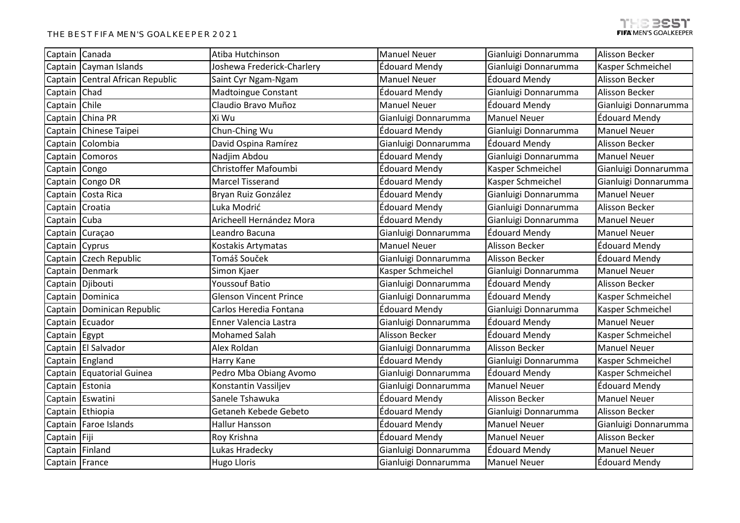| Captain Canada  |                                  | Atiba Hutchinson              | <b>Manuel Neuer</b>  | Gianluigi Donnarumma  | Alisson Becker       |
|-----------------|----------------------------------|-------------------------------|----------------------|-----------------------|----------------------|
|                 | Captain Cayman Islands           | Joshewa Frederick-Charlery    | Édouard Mendy        | Gianluigi Donnarumma  | Kasper Schmeichel    |
|                 | Captain Central African Republic | Saint Cyr Ngam-Ngam           | <b>Manuel Neuer</b>  | Édouard Mendy         | Alisson Becker       |
| Captain Chad    |                                  | <b>Madtoingue Constant</b>    | Édouard Mendy        | Gianluigi Donnarumma  | Alisson Becker       |
| Captain Chile   |                                  | Claudio Bravo Muñoz           | <b>Manuel Neuer</b>  | Édouard Mendy         | Gianluigi Donnarumma |
|                 | Captain China PR                 | Xi Wu                         | Gianluigi Donnarumma | <b>Manuel Neuer</b>   | Édouard Mendy        |
|                 | Captain Chinese Taipei           | Chun-Ching Wu                 | Édouard Mendy        | Gianluigi Donnarumma  | <b>Manuel Neuer</b>  |
|                 | Captain Colombia                 | David Ospina Ramírez          | Gianluigi Donnarumma | <b>Édouard Mendy</b>  | Alisson Becker       |
|                 | Captain Comoros                  | Nadjim Abdou                  | Édouard Mendy        | Gianluigi Donnarumma  | <b>Manuel Neuer</b>  |
| Captain Congo   |                                  | Christoffer Mafoumbi          | Édouard Mendy        | Kasper Schmeichel     | Gianluigi Donnarumma |
|                 | Captain Congo DR                 | <b>Marcel Tisserand</b>       | Édouard Mendy        | Kasper Schmeichel     | Gianluigi Donnarumma |
|                 | Captain Costa Rica               | Bryan Ruiz González           | Édouard Mendy        | Gianluigi Donnarumma  | <b>Manuel Neuer</b>  |
| Captain Croatia |                                  | Luka Modrić                   | Édouard Mendy        | Gianluigi Donnarumma  | Alisson Becker       |
| Captain Cuba    |                                  | Aricheell Hernández Mora      | Édouard Mendy        | Gianluigi Donnarumma  | <b>Manuel Neuer</b>  |
|                 | Captain Curaçao                  | Leandro Bacuna                | Gianluigi Donnarumma | Édouard Mendy         | <b>Manuel Neuer</b>  |
| Captain Cyprus  |                                  | Kostakis Artymatas            | <b>Manuel Neuer</b>  | <b>Alisson Becker</b> | Édouard Mendy        |
|                 | Captain Czech Republic           | Tomáš Souček                  | Gianluigi Donnarumma | <b>Alisson Becker</b> | Édouard Mendy        |
|                 | Captain Denmark                  | Simon Kjaer                   | Kasper Schmeichel    | Gianluigi Donnarumma  | <b>Manuel Neuer</b>  |
|                 | Captain Djibouti                 | <b>Youssouf Batio</b>         | Gianluigi Donnarumma | Édouard Mendy         | Alisson Becker       |
|                 | Captain Dominica                 | <b>Glenson Vincent Prince</b> | Gianluigi Donnarumma | <b>Édouard Mendy</b>  | Kasper Schmeichel    |
|                 | Captain Dominican Republic       | Carlos Heredia Fontana        | Édouard Mendy        | Gianluigi Donnarumma  | Kasper Schmeichel    |
|                 | Captain Ecuador                  | Enner Valencia Lastra         | Gianluigi Donnarumma | Édouard Mendy         | <b>Manuel Neuer</b>  |
| Captain Egypt   |                                  | <b>Mohamed Salah</b>          | Alisson Becker       | Édouard Mendy         | Kasper Schmeichel    |
|                 | Captain El Salvador              | Alex Roldan                   | Gianluigi Donnarumma | Alisson Becker        | <b>Manuel Neuer</b>  |
|                 | Captain England                  | Harry Kane                    | Édouard Mendy        | Gianluigi Donnarumma  | Kasper Schmeichel    |
|                 | Captain Equatorial Guinea        | Pedro Mba Obiang Avomo        | Gianluigi Donnarumma | <b>Édouard Mendy</b>  | Kasper Schmeichel    |
|                 | Captain Estonia                  | Konstantin Vassiljev          | Gianluigi Donnarumma | <b>Manuel Neuer</b>   | <b>Édouard Mendy</b> |
|                 | Captain Eswatini                 | Sanele Tshawuka               | Édouard Mendy        | Alisson Becker        | <b>Manuel Neuer</b>  |
|                 | Captain Ethiopia                 | Getaneh Kebede Gebeto         | Édouard Mendy        | Gianluigi Donnarumma  | Alisson Becker       |
|                 | Captain   Faroe Islands          | <b>Hallur Hansson</b>         | Édouard Mendy        | <b>Manuel Neuer</b>   | Gianluigi Donnarumma |
| Captain Fiji    |                                  | Roy Krishna                   | Édouard Mendy        | <b>Manuel Neuer</b>   | Alisson Becker       |
| Captain Finland |                                  | Lukas Hradecky                | Gianluigi Donnarumma | Édouard Mendy         | <b>Manuel Neuer</b>  |
| Captain France  |                                  | <b>Hugo Lloris</b>            | Gianluigi Donnarumma | <b>Manuel Neuer</b>   | Édouard Mendy        |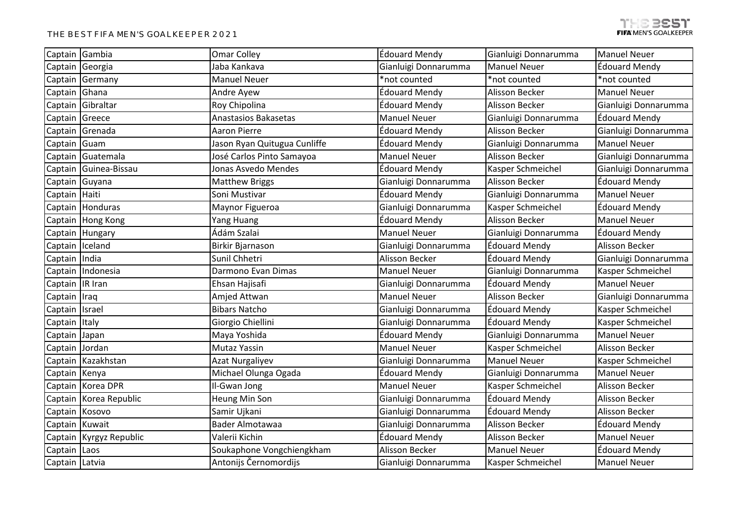|                 | Captain Gambia          | <b>Omar Colley</b>           | Édouard Mendy        | Gianluigi Donnarumma | <b>Manuel Neuer</b>   |
|-----------------|-------------------------|------------------------------|----------------------|----------------------|-----------------------|
|                 | Captain Georgia         | Jaba Kankava                 | Gianluigi Donnarumma | <b>Manuel Neuer</b>  | Édouard Mendy         |
|                 | Captain Germany         | <b>Manuel Neuer</b>          | *not counted         | *not counted         | *not counted          |
| Captain Ghana   |                         | Andre Ayew                   | Édouard Mendy        | Alisson Becker       | <b>Manuel Neuer</b>   |
|                 | Captain Gibraltar       | Roy Chipolina                | Édouard Mendy        | Alisson Becker       | Gianluigi Donnarumma  |
| Captain Greece  |                         | Anastasios Bakasetas         | <b>Manuel Neuer</b>  | Gianluigi Donnarumma | Édouard Mendy         |
|                 | Captain Grenada         | <b>Aaron Pierre</b>          | Édouard Mendy        | Alisson Becker       | Gianluigi Donnarumma  |
| Captain Guam    |                         | Jason Ryan Quitugua Cunliffe | Édouard Mendy        | Gianluigi Donnarumma | <b>Manuel Neuer</b>   |
|                 | Captain Guatemala       | José Carlos Pinto Samayoa    | <b>Manuel Neuer</b>  | Alisson Becker       | Gianluigi Donnarumma  |
|                 | Captain Guinea-Bissau   | Jonas Asvedo Mendes          | Édouard Mendy        | Kasper Schmeichel    | Gianluigi Donnarumma  |
|                 | Captain Guyana          | <b>Matthew Briggs</b>        | Gianluigi Donnarumma | Alisson Becker       | Édouard Mendy         |
| Captain Haiti   |                         | Soni Mustivar                | Édouard Mendy        | Gianluigi Donnarumma | <b>Manuel Neuer</b>   |
|                 | Captain Honduras        | Maynor Figueroa              | Gianluigi Donnarumma | Kasper Schmeichel    | Édouard Mendy         |
|                 | Captain Hong Kong       | Yang Huang                   | Édouard Mendy        | Alisson Becker       | <b>Manuel Neuer</b>   |
|                 | Captain Hungary         | Ádám Szalai                  | <b>Manuel Neuer</b>  | Gianluigi Donnarumma | Édouard Mendy         |
| Captain Iceland |                         | Birkir Bjarnason             | Gianluigi Donnarumma | Édouard Mendy        | Alisson Becker        |
| Captain India   |                         | Sunil Chhetri                | Alisson Becker       | Édouard Mendy        | Gianluigi Donnarumma  |
|                 | Captain Indonesia       | Darmono Evan Dimas           | <b>Manuel Neuer</b>  | Gianluigi Donnarumma | Kasper Schmeichel     |
| Captain IR Iran |                         | Ehsan Hajisafi               | Gianluigi Donnarumma | Édouard Mendy        | <b>Manuel Neuer</b>   |
| Captain Iraq    |                         | Amjed Attwan                 | <b>Manuel Neuer</b>  | Alisson Becker       | Gianluigi Donnarumma  |
| Captain Israel  |                         | <b>Bibars Natcho</b>         | Gianluigi Donnarumma | <b>Édouard Mendy</b> | Kasper Schmeichel     |
| Captain Italy   |                         | Giorgio Chiellini            | Gianluigi Donnarumma | Édouard Mendy        | Kasper Schmeichel     |
| Captain Japan   |                         | Maya Yoshida                 | Édouard Mendy        | Gianluigi Donnarumma | <b>Manuel Neuer</b>   |
| Captain Jordan  |                         | <b>Mutaz Yassin</b>          | <b>Manuel Neuer</b>  | Kasper Schmeichel    | <b>Alisson Becker</b> |
|                 | Captain Kazakhstan      | <b>Azat Nurgaliyev</b>       | Gianluigi Donnarumma | <b>Manuel Neuer</b>  | Kasper Schmeichel     |
| Captain Kenya   |                         | Michael Olunga Ogada         | Édouard Mendy        | Gianluigi Donnarumma | <b>Manuel Neuer</b>   |
|                 | Captain Korea DPR       | Il-Gwan Jong                 | <b>Manuel Neuer</b>  | Kasper Schmeichel    | Alisson Becker        |
|                 | Captain Korea Republic  | Heung Min Son                | Gianluigi Donnarumma | Édouard Mendy        | Alisson Becker        |
| Captain Kosovo  |                         | Samir Ujkani                 | Gianluigi Donnarumma | <b>Édouard Mendy</b> | Alisson Becker        |
| Captain Kuwait  |                         | Bader Almotawaa              | Gianluigi Donnarumma | Alisson Becker       | Édouard Mendy         |
|                 | Captain Kyrgyz Republic | Valerii Kichin               | Édouard Mendy        | Alisson Becker       | <b>Manuel Neuer</b>   |
| Captain Laos    |                         | Soukaphone Vongchiengkham    | Alisson Becker       | <b>Manuel Neuer</b>  | Édouard Mendy         |
| Captain Latvia  |                         | Antonijs Černomordijs        | Gianluigi Donnarumma | Kasper Schmeichel    | <b>Manuel Neuer</b>   |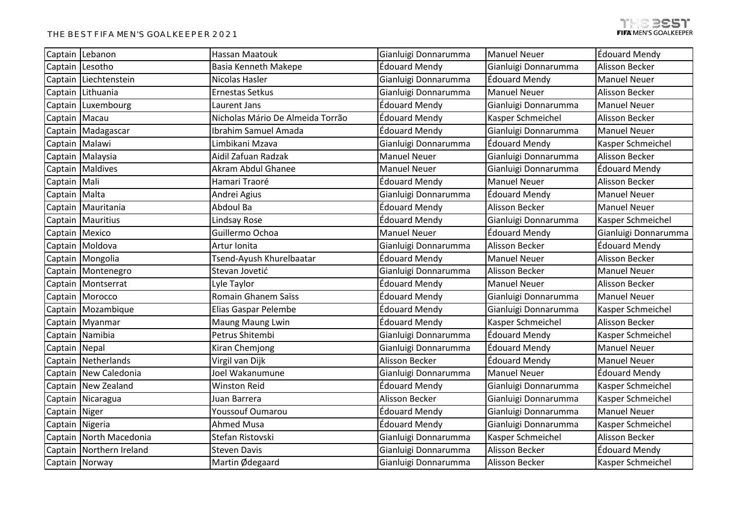|                | Captain Lebanon           | Hassan Maatouk                   | Gianluigi Donnarumma | <b>Manuel Neuer</b>   | <b>Édouard Mendy</b>  |
|----------------|---------------------------|----------------------------------|----------------------|-----------------------|-----------------------|
|                | Captain Lesotho           | <b>Basia Kenneth Makepe</b>      | Édouard Mendy        | Gianluigi Donnarumma  | Alisson Becker        |
|                | Captain Liechtenstein     | Nicolas Hasler                   | Gianluigi Donnarumma | <b>Édouard Mendy</b>  | <b>Manuel Neuer</b>   |
|                | Captain Lithuania         | <b>Ernestas Setkus</b>           | Gianluigi Donnarumma | <b>Manuel Neuer</b>   | Alisson Becker        |
|                | Captain Luxembourg        | Laurent Jans                     | Édouard Mendy        | Gianluigi Donnarumma  | <b>Manuel Neuer</b>   |
|                | Captain   Macau           | Nicholas Mário De Almeida Torrão | Édouard Mendy        | Kasper Schmeichel     | Alisson Becker        |
|                | Captain Madagascar        | Ibrahim Samuel Amada             | Édouard Mendy        | Gianluigi Donnarumma  | <b>Manuel Neuer</b>   |
|                | Captain Malawi            | Limbikani Mzava                  | Gianluigi Donnarumma | Édouard Mendy         | Kasper Schmeichel     |
|                | Captain Malaysia          | Aidil Zafuan Radzak              | <b>Manuel Neuer</b>  | Gianluigi Donnarumma  | <b>Alisson Becker</b> |
|                | Captain Maldives          | Akram Abdul Ghanee               | <b>Manuel Neuer</b>  | Gianluigi Donnarumma  | Édouard Mendy         |
| Captain   Mali |                           | Hamari Traoré                    | Édouard Mendy        | <b>Manuel Neuer</b>   | Alisson Becker        |
| Captain Malta  |                           | Andrei Agius                     | Gianluigi Donnarumma | <b>Édouard Mendy</b>  | <b>Manuel Neuer</b>   |
|                | Captain   Mauritania      | Abdoul Ba                        | Édouard Mendy        | <b>Alisson Becker</b> | <b>Manuel Neuer</b>   |
|                | Captain   Mauritius       | Lindsay Rose                     | Édouard Mendy        | Gianluigi Donnarumma  | Kasper Schmeichel     |
|                | Captain Mexico            | Guillermo Ochoa                  | <b>Manuel Neuer</b>  | <b>Édouard Mendy</b>  | Gianluigi Donnarumma  |
|                | Captain Moldova           | Artur Ionita                     | Gianluigi Donnarumma | <b>Alisson Becker</b> | Édouard Mendy         |
|                | Captain Mongolia          | Tsend-Ayush Khurelbaatar         | Édouard Mendy        | <b>Manuel Neuer</b>   | Alisson Becker        |
|                | Captain   Montenegro      | Stevan Jovetić                   | Gianluigi Donnarumma | <b>Alisson Becker</b> | <b>Manuel Neuer</b>   |
|                | Captain   Montserrat      | Lyle Taylor                      | Édouard Mendy        | <b>Manuel Neuer</b>   | Alisson Becker        |
|                | Captain Morocco           | Romain Ghanem Saïss              | Édouard Mendy        | Gianluigi Donnarumma  | <b>Manuel Neuer</b>   |
|                | Captain   Mozambique      | Elias Gaspar Pelembe             | Édouard Mendy        | Gianluigi Donnarumma  | Kasper Schmeichel     |
|                | Captain Myanmar           | <b>Maung Maung Lwin</b>          | Édouard Mendy        | Kasper Schmeichel     | Alisson Becker        |
|                | Captain Namibia           | Petrus Shitembi                  | Gianluigi Donnarumma | <b>Édouard Mendy</b>  | Kasper Schmeichel     |
| Captain Nepal  |                           | Kiran Chemjong                   | Gianluigi Donnarumma | Édouard Mendy         | <b>Manuel Neuer</b>   |
|                | Captain Netherlands       | Virgil van Dijk                  | Alisson Becker       | Édouard Mendy         | <b>Manuel Neuer</b>   |
|                | Captain New Caledonia     | Joel Wakanumune                  | Gianluigi Donnarumma | <b>Manuel Neuer</b>   | <b>Édouard Mendy</b>  |
|                | Captain New Zealand       | <b>Winston Reid</b>              | Édouard Mendy        | Gianluigi Donnarumma  | Kasper Schmeichel     |
|                | Captain Nicaragua         | Juan Barrera                     | Alisson Becker       | Gianluigi Donnarumma  | Kasper Schmeichel     |
| Captain Niger  |                           | <b>Youssouf Oumarou</b>          | Édouard Mendy        | Gianluigi Donnarumma  | <b>Manuel Neuer</b>   |
|                | Captain Nigeria           | <b>Ahmed Musa</b>                | Édouard Mendy        | Gianluigi Donnarumma  | Kasper Schmeichel     |
|                | Captain   North Macedonia | Stefan Ristovski                 | Gianluigi Donnarumma | Kasper Schmeichel     | Alisson Becker        |
|                | Captain Northern Ireland  | <b>Steven Davis</b>              | Gianluigi Donnarumma | <b>Alisson Becker</b> | Édouard Mendy         |
|                | Captain Norway            | Martin Ødegaard                  | Gianluigi Donnarumma | Alisson Becker        | Kasper Schmeichel     |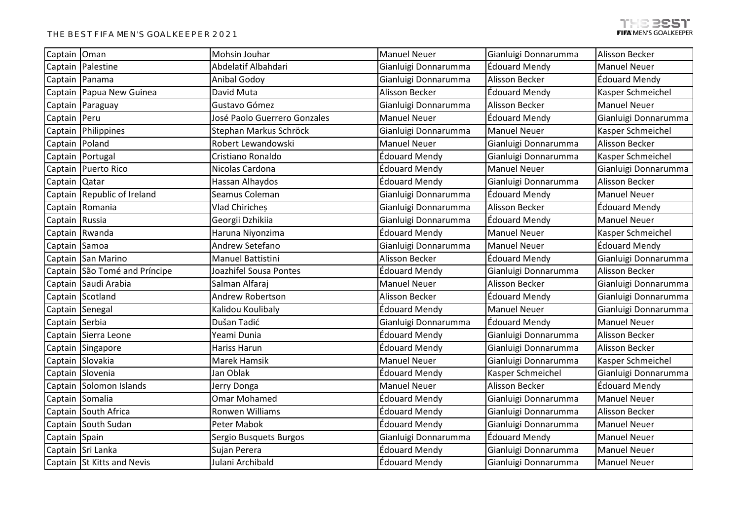| Captain Oman   |                               | Mohsin Jouhar                | <b>Manuel Neuer</b>  | Gianluigi Donnarumma  | Alisson Becker       |
|----------------|-------------------------------|------------------------------|----------------------|-----------------------|----------------------|
|                | Captain Palestine             | Abdelatif Albahdari          | Gianluigi Donnarumma | <b>Édouard Mendy</b>  | <b>Manuel Neuer</b>  |
|                | Captain Panama                | Anibal Godoy                 | Gianluigi Donnarumma | Alisson Becker        | <b>Édouard Mendy</b> |
|                | Captain Papua New Guinea      | David Muta                   | Alisson Becker       | Édouard Mendy         | Kasper Schmeichel    |
| Captain        | Paraguay                      | Gustavo Gómez                | Gianluigi Donnarumma | Alisson Becker        | <b>Manuel Neuer</b>  |
| Captain Peru   |                               | José Paolo Guerrero Gonzales | <b>Manuel Neuer</b>  | <b>Édouard Mendy</b>  | Gianluigi Donnarumma |
|                | Captain Philippines           | Stephan Markus Schröck       | Gianluigi Donnarumma | <b>Manuel Neuer</b>   | Kasper Schmeichel    |
|                | Captain Poland                | Robert Lewandowski           | <b>Manuel Neuer</b>  | Gianluigi Donnarumma  | Alisson Becker       |
|                | Captain Portugal              | Cristiano Ronaldo            | Édouard Mendy        | Gianluigi Donnarumma  | Kasper Schmeichel    |
|                | Captain Puerto Rico           | Nicolas Cardona              | <b>Édouard Mendy</b> | <b>Manuel Neuer</b>   | Gianluigi Donnarumma |
| Captain Qatar  |                               | Hassan Alhaydos              | Édouard Mendy        | Gianluigi Donnarumma  | Alisson Becker       |
|                | Captain Republic of Ireland   | Seamus Coleman               | Gianluigi Donnarumma | Édouard Mendy         | <b>Manuel Neuer</b>  |
|                | Captain Romania               | Vlad Chiricheș               | Gianluigi Donnarumma | <b>Alisson Becker</b> | <b>Édouard Mendy</b> |
| Captain Russia |                               | Georgii Dzhikiia             | Gianluigi Donnarumma | Édouard Mendy         | <b>Manuel Neuer</b>  |
|                | Captain Rwanda                | Haruna Niyonzima             | Édouard Mendy        | <b>Manuel Neuer</b>   | Kasper Schmeichel    |
| Captain Samoa  |                               | Andrew Setefano              | Gianluigi Donnarumma | <b>Manuel Neuer</b>   | Édouard Mendy        |
|                | Captain San Marino            | Manuel Battistini            | Alisson Becker       | Édouard Mendy         | Gianluigi Donnarumma |
|                | Captain São Tomé and Príncipe | Joazhifel Sousa Pontes       | Édouard Mendy        | Gianluigi Donnarumma  | Alisson Becker       |
|                | Captain Saudi Arabia          | Salman Alfaraj               | <b>Manuel Neuer</b>  | Alisson Becker        | Gianluigi Donnarumma |
|                | Captain Scotland              | Andrew Robertson             | Alisson Becker       | <b>Édouard Mendy</b>  | Gianluigi Donnarumma |
|                | Captain Senegal               | Kalidou Koulibaly            | Édouard Mendy        | <b>Manuel Neuer</b>   | Gianluigi Donnarumma |
| Captain Serbia |                               | Dušan Tadić                  | Gianluigi Donnarumma | <b>Édouard Mendy</b>  | <b>Manuel Neuer</b>  |
|                | Captain Sierra Leone          | Yeami Dunia                  | Édouard Mendy        | Gianluigi Donnarumma  | Alisson Becker       |
|                | Captain Singapore             | <b>Hariss Harun</b>          | Édouard Mendy        | Gianluigi Donnarumma  | Alisson Becker       |
|                | Captain Slovakia              | Marek Hamsik                 | <b>Manuel Neuer</b>  | Gianluigi Donnarumma  | Kasper Schmeichel    |
|                | Captain Slovenia              | Jan Oblak                    | <b>Édouard Mendy</b> | Kasper Schmeichel     | Gianluigi Donnarumma |
|                | Captain Solomon Islands       | Jerry Donga                  | <b>Manuel Neuer</b>  | Alisson Becker        | <b>Édouard Mendy</b> |
|                | Captain Somalia               | <b>Omar Mohamed</b>          | Édouard Mendy        | Gianluigi Donnarumma  | <b>Manuel Neuer</b>  |
|                | Captain South Africa          | Ronwen Williams              | Édouard Mendy        | Gianluigi Donnarumma  | Alisson Becker       |
|                | Captain South Sudan           | Peter Mabok                  | Édouard Mendy        | Gianluigi Donnarumma  | <b>Manuel Neuer</b>  |
| Captain Spain  |                               | Sergio Busquets Burgos       | Gianluigi Donnarumma | Édouard Mendy         | <b>Manuel Neuer</b>  |
|                | Captain Sri Lanka             | Sujan Perera                 | Édouard Mendy        | Gianluigi Donnarumma  | <b>Manuel Neuer</b>  |
|                | Captain St Kitts and Nevis    | Julani Archibald             | Édouard Mendy        | Gianluigi Donnarumma  | <b>Manuel Neuer</b>  |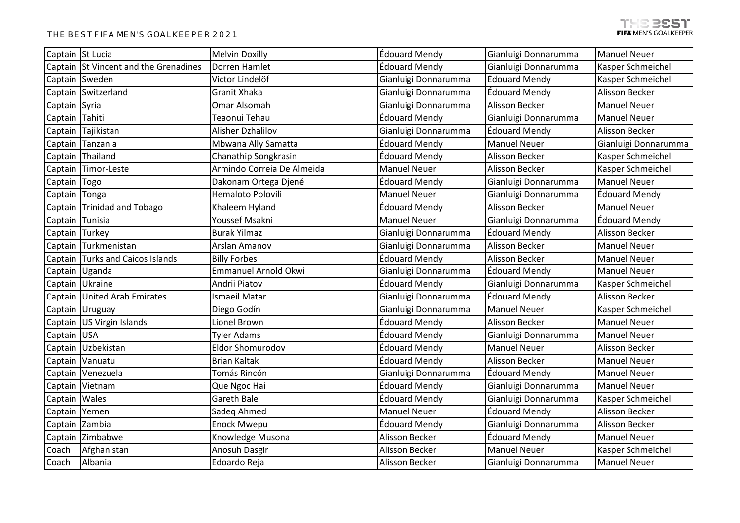|                | Captain St Lucia                      | <b>Melvin Doxilly</b>      | Édouard Mendy        | Gianluigi Donnarumma  | <b>Manuel Neuer</b>   |
|----------------|---------------------------------------|----------------------------|----------------------|-----------------------|-----------------------|
|                | Captain St Vincent and the Grenadines | Dorren Hamlet              | Édouard Mendy        | Gianluigi Donnarumma  | Kasper Schmeichel     |
|                | Captain Sweden                        | Victor Lindelöf            | Gianluigi Donnarumma | <b>Édouard Mendy</b>  | Kasper Schmeichel     |
|                | Captain Switzerland                   | Granit Xhaka               | Gianluigi Donnarumma | <b>Édouard Mendy</b>  | Alisson Becker        |
| Captain Syria  |                                       | Omar Alsomah               | Gianluigi Donnarumma | <b>Alisson Becker</b> | <b>Manuel Neuer</b>   |
| Captain Tahiti |                                       | Teaonui Tehau              | Édouard Mendy        | Gianluigi Donnarumma  | <b>Manuel Neuer</b>   |
| Captain        | Tajikistan                            | Alisher Dzhalilov          | Gianluigi Donnarumma | Édouard Mendy         | Alisson Becker        |
| Captain        | Tanzania                              | Mbwana Ally Samatta        | Édouard Mendy        | <b>Manuel Neuer</b>   | Gianluigi Donnarumma  |
| Captain        | Thailand                              | Chanathip Songkrasin       | Édouard Mendy        | <b>Alisson Becker</b> | Kasper Schmeichel     |
|                | Captain Timor-Leste                   | Armindo Correia De Almeida | <b>Manuel Neuer</b>  | Alisson Becker        | Kasper Schmeichel     |
| Captain Togo   |                                       | Dakonam Ortega Djené       | Édouard Mendy        | Gianluigi Donnarumma  | <b>Manuel Neuer</b>   |
| Captain Tonga  |                                       | Hemaloto Polovili          | <b>Manuel Neuer</b>  | Gianluigi Donnarumma  | <b>Édouard Mendy</b>  |
|                | Captain Trinidad and Tobago           | Khaleem Hyland             | Édouard Mendy        | <b>Alisson Becker</b> | <b>Manuel Neuer</b>   |
|                | Captain Tunisia                       | Youssef Msakni             | <b>Manuel Neuer</b>  | Gianluigi Donnarumma  | Édouard Mendy         |
| Captain Turkey |                                       | <b>Burak Yilmaz</b>        | Gianluigi Donnarumma | <b>Édouard Mendy</b>  | Alisson Becker        |
|                | Captain Turkmenistan                  | Arslan Amanov              | Gianluigi Donnarumma | Alisson Becker        | <b>Manuel Neuer</b>   |
|                | Captain Turks and Caicos Islands      | <b>Billy Forbes</b>        | Édouard Mendy        | Alisson Becker        | <b>Manuel Neuer</b>   |
|                | Captain Uganda                        | Emmanuel Arnold Okwi       | Gianluigi Donnarumma | Édouard Mendy         | <b>Manuel Neuer</b>   |
|                | Captain Ukraine                       | Andrii Piatov              | Édouard Mendy        | Gianluigi Donnarumma  | Kasper Schmeichel     |
|                | Captain United Arab Emirates          | <b>Ismaeil Matar</b>       | Gianluigi Donnarumma | <b>Édouard Mendy</b>  | <b>Alisson Becker</b> |
|                | Captain Uruguay                       | Diego Godín                | Gianluigi Donnarumma | <b>Manuel Neuer</b>   | Kasper Schmeichel     |
|                | Captain US Virgin Islands             | Lionel Brown               | Édouard Mendy        | Alisson Becker        | <b>Manuel Neuer</b>   |
| Captain USA    |                                       | <b>Tyler Adams</b>         | Édouard Mendy        | Gianluigi Donnarumma  | <b>Manuel Neuer</b>   |
|                | Captain Uzbekistan                    | <b>Eldor Shomurodov</b>    | Édouard Mendy        | <b>Manuel Neuer</b>   | Alisson Becker        |
|                | Captain Vanuatu                       | <b>Brian Kaltak</b>        | Édouard Mendy        | Alisson Becker        | <b>Manuel Neuer</b>   |
|                | Captain Venezuela                     | Tomás Rincón               | Gianluigi Donnarumma | <b>Édouard Mendy</b>  | <b>Manuel Neuer</b>   |
|                | Captain Vietnam                       | Que Ngoc Hai               | Édouard Mendy        | Gianluigi Donnarumma  | <b>Manuel Neuer</b>   |
| Captain Wales  |                                       | Gareth Bale                | Édouard Mendy        | Gianluigi Donnarumma  | Kasper Schmeichel     |
| Captain Yemen  |                                       | Sadeq Ahmed                | <b>Manuel Neuer</b>  | Édouard Mendy         | <b>Alisson Becker</b> |
|                | Captain Zambia                        | Enock Mwepu                | Édouard Mendy        | Gianluigi Donnarumma  | Alisson Becker        |
| Captain        | Zimbabwe                              | Knowledge Musona           | Alisson Becker       | <b>Édouard Mendy</b>  | <b>Manuel Neuer</b>   |
| Coach          | Afghanistan                           | Anosuh Dasgir              | Alisson Becker       | <b>Manuel Neuer</b>   | Kasper Schmeichel     |
| Coach          | Albania                               | Edoardo Reja               | Alisson Becker       | Gianluigi Donnarumma  | <b>Manuel Neuer</b>   |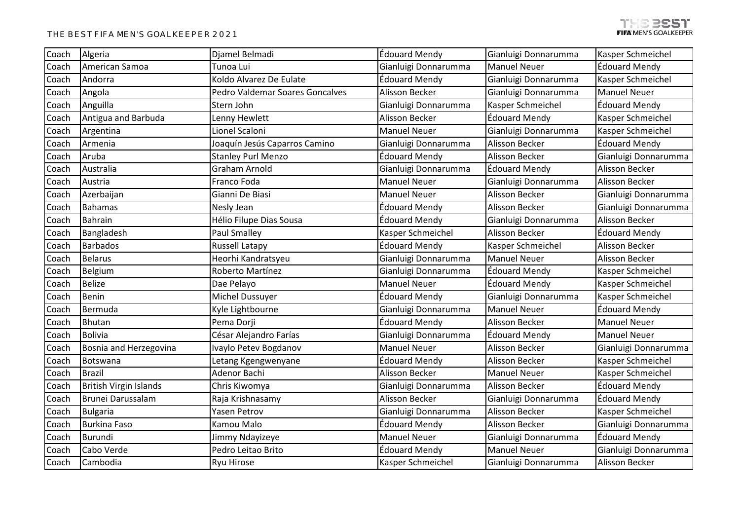| Coach | Algeria                       | Djamel Belmadi                  | Édouard Mendy         | Gianluigi Donnarumma  | Kasper Schmeichel     |
|-------|-------------------------------|---------------------------------|-----------------------|-----------------------|-----------------------|
| Coach | American Samoa                | Tunoa Lui                       | Gianluigi Donnarumma  | <b>Manuel Neuer</b>   | Édouard Mendy         |
| Coach | Andorra                       | Koldo Alvarez De Eulate         | Édouard Mendy         | Gianluigi Donnarumma  | Kasper Schmeichel     |
| Coach | Angola                        | Pedro Valdemar Soares Goncalves | Alisson Becker        | Gianluigi Donnarumma  | <b>Manuel Neuer</b>   |
| Coach | Anguilla                      | Stern John                      | Gianluigi Donnarumma  | Kasper Schmeichel     | Édouard Mendy         |
| Coach | Antigua and Barbuda           | Lenny Hewlett                   | Alisson Becker        | Édouard Mendy         | Kasper Schmeichel     |
| Coach | Argentina                     | Lionel Scaloni                  | <b>Manuel Neuer</b>   | Gianluigi Donnarumma  | Kasper Schmeichel     |
| Coach | Armenia                       | Joaquín Jesús Caparros Camino   | Gianluigi Donnarumma  | Alisson Becker        | Édouard Mendy         |
| Coach | Aruba                         | <b>Stanley Purl Menzo</b>       | Édouard Mendy         | <b>Alisson Becker</b> | Gianluigi Donnarumma  |
| Coach | Australia                     | Graham Arnold                   | Gianluigi Donnarumma  | <b>Édouard Mendy</b>  | Alisson Becker        |
| Coach | Austria                       | Franco Foda                     | <b>Manuel Neuer</b>   | Gianluigi Donnarumma  | Alisson Becker        |
| Coach | Azerbaijan                    | Gianni De Biasi                 | <b>Manuel Neuer</b>   | Alisson Becker        | Gianluigi Donnarumma  |
| Coach | <b>Bahamas</b>                | Nesly Jean                      | Édouard Mendy         | <b>Alisson Becker</b> | Gianluigi Donnarumma  |
| Coach | <b>Bahrain</b>                | Hélio Filupe Dias Sousa         | Édouard Mendy         | Gianluigi Donnarumma  | Alisson Becker        |
| Coach | Bangladesh                    | <b>Paul Smalley</b>             | Kasper Schmeichel     | Alisson Becker        | Édouard Mendy         |
| Coach | <b>Barbados</b>               | <b>Russell Latapy</b>           | Édouard Mendy         | Kasper Schmeichel     | Alisson Becker        |
| Coach | <b>Belarus</b>                | Heorhi Kandratsyeu              | Gianluigi Donnarumma  | <b>Manuel Neuer</b>   | Alisson Becker        |
| Coach | Belgium                       | Roberto Martínez                | Gianluigi Donnarumma  | <b>Édouard Mendy</b>  | Kasper Schmeichel     |
| Coach | <b>Belize</b>                 | Dae Pelayo                      | <b>Manuel Neuer</b>   | <b>Édouard Mendy</b>  | Kasper Schmeichel     |
| Coach | Benin                         | Michel Dussuyer                 | Édouard Mendy         | Gianluigi Donnarumma  | Kasper Schmeichel     |
| Coach | Bermuda                       | Kyle Lightbourne                | Gianluigi Donnarumma  | <b>Manuel Neuer</b>   | Édouard Mendy         |
| Coach | Bhutan                        | Pema Dorji                      | Édouard Mendy         | Alisson Becker        | <b>Manuel Neuer</b>   |
| Coach | <b>Bolivia</b>                | César Alejandro Farías          | Gianluigi Donnarumma  | Édouard Mendy         | <b>Manuel Neuer</b>   |
| Coach | Bosnia and Herzegovina        | Ivaylo Petev Bogdanov           | <b>Manuel Neuer</b>   | Alisson Becker        | Gianluigi Donnarumma  |
| Coach | Botswana                      | Letang Kgengwenyane             | Édouard Mendy         | Alisson Becker        | Kasper Schmeichel     |
| Coach | <b>Brazil</b>                 | Adenor Bachi                    | Alisson Becker        | <b>Manuel Neuer</b>   | Kasper Schmeichel     |
| Coach | <b>British Virgin Islands</b> | Chris Kiwomya                   | Gianluigi Donnarumma  | <b>Alisson Becker</b> | Édouard Mendy         |
| Coach | Brunei Darussalam             | Raja Krishnasamy                | <b>Alisson Becker</b> | Gianluigi Donnarumma  | Édouard Mendy         |
| Coach | <b>Bulgaria</b>               | <b>Yasen Petrov</b>             | Gianluigi Donnarumma  | <b>Alisson Becker</b> | Kasper Schmeichel     |
| Coach | <b>Burkina Faso</b>           | Kamou Malo                      | Édouard Mendy         | Alisson Becker        | Gianluigi Donnarumma  |
| Coach | Burundi                       | Jimmy Ndayizeye                 | <b>Manuel Neuer</b>   | Gianluigi Donnarumma  | Édouard Mendy         |
| Coach | Cabo Verde                    | Pedro Leitao Brito              | Édouard Mendy         | <b>Manuel Neuer</b>   | Gianluigi Donnarumma  |
| Coach | Cambodia                      | <b>Ryu Hirose</b>               | Kasper Schmeichel     | Gianluigi Donnarumma  | <b>Alisson Becker</b> |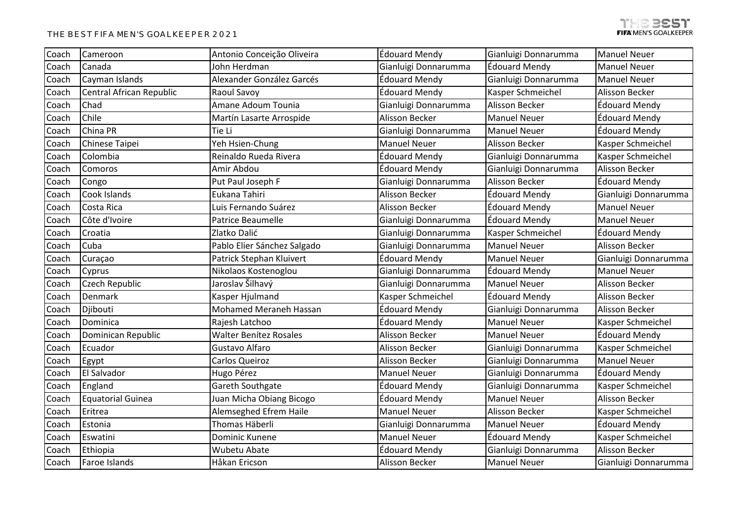| Coach | Cameroon                 | Antonio Conceição Oliveira    | <b>Édouard Mendy</b> | Gianluigi Donnarumma  | <b>Manuel Neuer</b>  |
|-------|--------------------------|-------------------------------|----------------------|-----------------------|----------------------|
| Coach | Canada                   | John Herdman                  | Gianluigi Donnarumma | <b>Édouard Mendy</b>  | <b>Manuel Neuer</b>  |
| Coach | Cayman Islands           | Alexander González Garcés     | Édouard Mendy        | Gianluigi Donnarumma  | <b>Manuel Neuer</b>  |
| Coach | Central African Republic | Raoul Savoy                   | Édouard Mendy        | Kasper Schmeichel     | Alisson Becker       |
| Coach | Chad                     | Amane Adoum Tounia            | Gianluigi Donnarumma | <b>Alisson Becker</b> | Édouard Mendy        |
| Coach | Chile                    | Martín Lasarte Arrospide      | Alisson Becker       | <b>Manuel Neuer</b>   | Édouard Mendy        |
| Coach | China PR                 | Tie Li                        | Gianluigi Donnarumma | <b>Manuel Neuer</b>   | <b>Édouard Mendy</b> |
| Coach | Chinese Taipei           | Yeh Hsien-Chung               | <b>Manuel Neuer</b>  | Alisson Becker        | Kasper Schmeichel    |
| Coach | Colombia                 | Reinaldo Rueda Rivera         | Édouard Mendy        | Gianluigi Donnarumma  | Kasper Schmeichel    |
| Coach | Comoros                  | Amir Abdou                    | Édouard Mendy        | Gianluigi Donnarumma  | Alisson Becker       |
| Coach | Congo                    | Put Paul Joseph F             | Gianluigi Donnarumma | <b>Alisson Becker</b> | <b>Édouard Mendy</b> |
| Coach | Cook Islands             | Eukana Tahiri                 | Alisson Becker       | Édouard Mendy         | Gianluigi Donnarumma |
| Coach | Costa Rica               | Luis Fernando Suárez          | Alisson Becker       | <b>Édouard Mendy</b>  | <b>Manuel Neuer</b>  |
| Coach | Côte d'Ivoire            | Patrice Beaumelle             | Gianluigi Donnarumma | <b>Édouard Mendy</b>  | <b>Manuel Neuer</b>  |
| Coach | Croatia                  | Zlatko Dalić                  | Gianluigi Donnarumma | Kasper Schmeichel     | Édouard Mendy        |
| Coach | Cuba                     | Pablo Elier Sánchez Salgado   | Gianluigi Donnarumma | <b>Manuel Neuer</b>   | Alisson Becker       |
| Coach | Curaçao                  | Patrick Stephan Kluivert      | Édouard Mendy        | <b>Manuel Neuer</b>   | Gianluigi Donnarumma |
| Coach | Cyprus                   | Nikolaos Kostenoglou          | Gianluigi Donnarumma | <b>Édouard Mendy</b>  | <b>Manuel Neuer</b>  |
| Coach | Czech Republic           | Jaroslav Šilhavý              | Gianluigi Donnarumma | <b>Manuel Neuer</b>   | Alisson Becker       |
| Coach | Denmark                  | Kasper Hjulmand               | Kasper Schmeichel    | <b>Édouard Mendy</b>  | Alisson Becker       |
| Coach | Djibouti                 | Mohamed Meraneh Hassan        | Édouard Mendy        | Gianluigi Donnarumma  | Alisson Becker       |
| Coach | Dominica                 | Rajesh Latchoo                | Édouard Mendy        | <b>Manuel Neuer</b>   | Kasper Schmeichel    |
| Coach | Dominican Republic       | <b>Walter Benítez Rosales</b> | Alisson Becker       | <b>Manuel Neuer</b>   | Édouard Mendy        |
| Coach | Ecuador                  | Gustavo Alfaro                | Alisson Becker       | Gianluigi Donnarumma  | Kasper Schmeichel    |
| Coach | Egypt                    | Carlos Queiroz                | Alisson Becker       | Gianluigi Donnarumma  | <b>Manuel Neuer</b>  |
| Coach | El Salvador              | Hugo Pérez                    | <b>Manuel Neuer</b>  | Gianluigi Donnarumma  | Édouard Mendy        |
| Coach | England                  | Gareth Southgate              | Édouard Mendy        | Gianluigi Donnarumma  | Kasper Schmeichel    |
| Coach | <b>Equatorial Guinea</b> | Juan Micha Obiang Bicogo      | Édouard Mendy        | <b>Manuel Neuer</b>   | Alisson Becker       |
| Coach | Eritrea                  | Alemseghed Efrem Haile        | <b>Manuel Neuer</b>  | <b>Alisson Becker</b> | Kasper Schmeichel    |
| Coach | Estonia                  | Thomas Häberli                | Gianluigi Donnarumma | <b>Manuel Neuer</b>   | Édouard Mendy        |
| Coach | Eswatini                 | Dominic Kunene                | <b>Manuel Neuer</b>  | Édouard Mendy         | Kasper Schmeichel    |
| Coach | Ethiopia                 | Wubetu Abate                  | Édouard Mendy        | Gianluigi Donnarumma  | Alisson Becker       |
| Coach | Faroe Islands            | Håkan Ericson                 | Alisson Becker       | <b>Manuel Neuer</b>   | Gianluigi Donnarumma |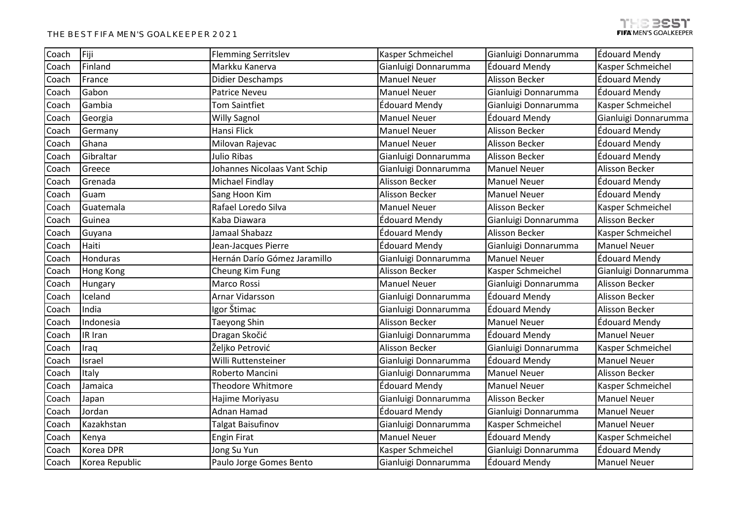| Coach | Fiji           | <b>Flemming Serritslev</b>   | Kasper Schmeichel     | Gianluigi Donnarumma  | Édouard Mendy        |
|-------|----------------|------------------------------|-----------------------|-----------------------|----------------------|
| Coach | Finland        | Markku Kanerva               | Gianluigi Donnarumma  | Édouard Mendy         | Kasper Schmeichel    |
| Coach | France         | Didier Deschamps             | <b>Manuel Neuer</b>   | Alisson Becker        | Édouard Mendy        |
| Coach | Gabon          | <b>Patrice Neveu</b>         | <b>Manuel Neuer</b>   | Gianluigi Donnarumma  | Édouard Mendy        |
| Coach | Gambia         | Tom Saintfiet                | Édouard Mendy         | Gianluigi Donnarumma  | Kasper Schmeichel    |
| Coach | Georgia        | <b>Willy Sagnol</b>          | <b>Manuel Neuer</b>   | Édouard Mendy         | Gianluigi Donnarumma |
| Coach | Germany        | Hansi Flick                  | <b>Manuel Neuer</b>   | Alisson Becker        | Édouard Mendy        |
| Coach | Ghana          | Milovan Rajevac              | <b>Manuel Neuer</b>   | Alisson Becker        | Édouard Mendy        |
| Coach | Gibraltar      | Julio Ribas                  | Gianluigi Donnarumma  | <b>Alisson Becker</b> | Édouard Mendy        |
| Coach | Greece         | Johannes Nicolaas Vant Schip | Gianluigi Donnarumma  | <b>Manuel Neuer</b>   | Alisson Becker       |
| Coach | Grenada        | Michael Findlay              | Alisson Becker        | <b>Manuel Neuer</b>   | Édouard Mendy        |
| Coach | Guam           | Sang Hoon Kim                | Alisson Becker        | <b>Manuel Neuer</b>   | <b>Édouard Mendy</b> |
| Coach | Guatemala      | Rafael Loredo Silva          | <b>Manuel Neuer</b>   | Alisson Becker        | Kasper Schmeichel    |
| Coach | Guinea         | Kaba Diawara                 | Édouard Mendy         | Gianluigi Donnarumma  | Alisson Becker       |
| Coach | Guyana         | Jamaal Shabazz               | Édouard Mendy         | Alisson Becker        | Kasper Schmeichel    |
| Coach | Haiti          | Jean-Jacques Pierre          | Édouard Mendy         | Gianluigi Donnarumma  | <b>Manuel Neuer</b>  |
| Coach | Honduras       | Hernán Darío Gómez Jaramillo | Gianluigi Donnarumma  | <b>Manuel Neuer</b>   | Édouard Mendy        |
| Coach | Hong Kong      | Cheung Kim Fung              | Alisson Becker        | Kasper Schmeichel     | Gianluigi Donnarumma |
| Coach | Hungary        | <b>Marco Rossi</b>           | <b>Manuel Neuer</b>   | Gianluigi Donnarumma  | Alisson Becker       |
| Coach | Iceland        | Arnar Vidarsson              | Gianluigi Donnarumma  | Édouard Mendy         | Alisson Becker       |
| Coach | India          | Igor Štimac                  | Gianluigi Donnarumma  | <b>Édouard Mendy</b>  | Alisson Becker       |
| Coach | Indonesia      | Taeyong Shin                 | Alisson Becker        | <b>Manuel Neuer</b>   | Édouard Mendy        |
| Coach | IR Iran        | Dragan Skočić                | Gianluigi Donnarumma  | Édouard Mendy         | <b>Manuel Neuer</b>  |
| Coach | Iraq           | Željko Petrović              | <b>Alisson Becker</b> | Gianluigi Donnarumma  | Kasper Schmeichel    |
| Coach | Israel         | Willi Ruttensteiner          | Gianluigi Donnarumma  | <b>Édouard Mendy</b>  | <b>Manuel Neuer</b>  |
| Coach | Italy          | Roberto Mancini              | Gianluigi Donnarumma  | <b>Manuel Neuer</b>   | Alisson Becker       |
| Coach | Jamaica        | <b>Theodore Whitmore</b>     | Édouard Mendy         | <b>Manuel Neuer</b>   | Kasper Schmeichel    |
| Coach | Japan          | Hajime Moriyasu              | Gianluigi Donnarumma  | Alisson Becker        | <b>Manuel Neuer</b>  |
| Coach | Jordan         | Adnan Hamad                  | Édouard Mendy         | Gianluigi Donnarumma  | <b>Manuel Neuer</b>  |
| Coach | Kazakhstan     | Talgat Baisufinov            | Gianluigi Donnarumma  | Kasper Schmeichel     | <b>Manuel Neuer</b>  |
| Coach | Kenya          | <b>Engin Firat</b>           | <b>Manuel Neuer</b>   | <b>Édouard Mendy</b>  | Kasper Schmeichel    |
| Coach | Korea DPR      | Jong Su Yun                  | Kasper Schmeichel     | Gianluigi Donnarumma  | Édouard Mendy        |
| Coach | Korea Republic | Paulo Jorge Gomes Bento      | Gianluigi Donnarumma  | <b>Édouard Mendy</b>  | <b>Manuel Neuer</b>  |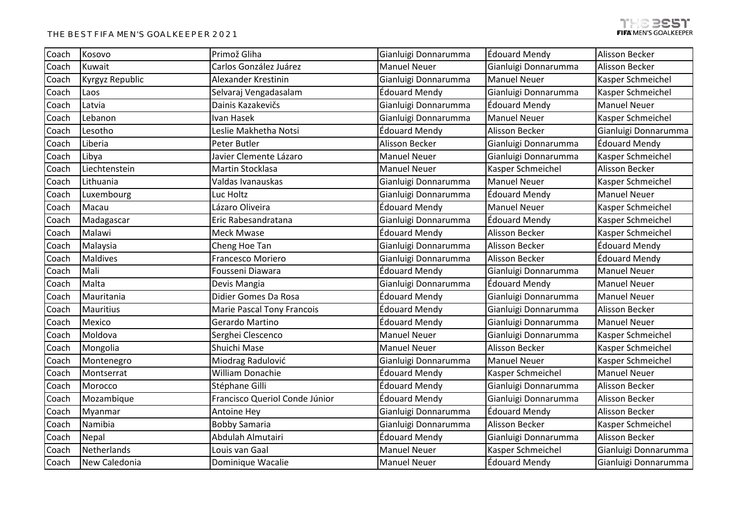| Coach | Kosovo          | Primož Gliha                      | Gianluigi Donnarumma | Édouard Mendy         | <b>Alisson Becker</b> |
|-------|-----------------|-----------------------------------|----------------------|-----------------------|-----------------------|
| Coach | Kuwait          | Carlos González Juárez            | <b>Manuel Neuer</b>  | Gianluigi Donnarumma  | Alisson Becker        |
| Coach | Kyrgyz Republic | Alexander Krestinin               | Gianluigi Donnarumma | <b>Manuel Neuer</b>   | Kasper Schmeichel     |
| Coach | Laos            | Selvaraj Vengadasalam             | Édouard Mendy        | Gianluigi Donnarumma  | Kasper Schmeichel     |
| Coach | Latvia          | Dainis Kazakevičs                 | Gianluigi Donnarumma | Édouard Mendy         | <b>Manuel Neuer</b>   |
| Coach | Lebanon         | Ivan Hasek                        | Gianluigi Donnarumma | <b>Manuel Neuer</b>   | Kasper Schmeichel     |
| Coach | Lesotho         | Leslie Makhetha Notsi             | Édouard Mendy        | Alisson Becker        | Gianluigi Donnarumma  |
| Coach | Liberia         | Peter Butler                      | Alisson Becker       | Gianluigi Donnarumma  | Édouard Mendy         |
| Coach | Libya           | Javier Clemente Lázaro            | <b>Manuel Neuer</b>  | Gianluigi Donnarumma  | Kasper Schmeichel     |
| Coach | Liechtenstein   | Martin Stocklasa                  | <b>Manuel Neuer</b>  | Kasper Schmeichel     | Alisson Becker        |
| Coach | Lithuania       | Valdas Ivanauskas                 | Gianluigi Donnarumma | <b>Manuel Neuer</b>   | Kasper Schmeichel     |
| Coach | Luxembourg      | Luc Holtz                         | Gianluigi Donnarumma | Édouard Mendy         | <b>Manuel Neuer</b>   |
| Coach | Macau           | Lázaro Oliveira                   | Édouard Mendy        | <b>Manuel Neuer</b>   | Kasper Schmeichel     |
| Coach | Madagascar      | Eric Rabesandratana               | Gianluigi Donnarumma | Édouard Mendy         | Kasper Schmeichel     |
| Coach | Malawi          | <b>Meck Mwase</b>                 | Édouard Mendy        | Alisson Becker        | Kasper Schmeichel     |
| Coach | Malaysia        | Cheng Hoe Tan                     | Gianluigi Donnarumma | <b>Alisson Becker</b> | Édouard Mendy         |
| Coach | <b>Maldives</b> | Francesco Moriero                 | Gianluigi Donnarumma | <b>Alisson Becker</b> | Édouard Mendy         |
| Coach | Mali            | Fousseni Diawara                  | Édouard Mendy        | Gianluigi Donnarumma  | <b>Manuel Neuer</b>   |
| Coach | Malta           | Devis Mangia                      | Gianluigi Donnarumma | <b>Édouard Mendy</b>  | <b>Manuel Neuer</b>   |
| Coach | Mauritania      | Didier Gomes Da Rosa              | Édouard Mendy        | Gianluigi Donnarumma  | <b>Manuel Neuer</b>   |
| Coach | Mauritius       | <b>Marie Pascal Tony Francois</b> | Édouard Mendy        | Gianluigi Donnarumma  | Alisson Becker        |
| Coach | Mexico          | Gerardo Martino                   | Édouard Mendy        | Gianluigi Donnarumma  | <b>Manuel Neuer</b>   |
| Coach | Moldova         | Serghei Clescenco                 | <b>Manuel Neuer</b>  | Gianluigi Donnarumma  | Kasper Schmeichel     |
| Coach | Mongolia        | Shuichi Mase                      | <b>Manuel Neuer</b>  | <b>Alisson Becker</b> | Kasper Schmeichel     |
| Coach | Montenegro      | Miodrag Radulović                 | Gianluigi Donnarumma | <b>Manuel Neuer</b>   | Kasper Schmeichel     |
| Coach | Montserrat      | William Donachie                  | Édouard Mendy        | Kasper Schmeichel     | <b>Manuel Neuer</b>   |
| Coach | Morocco         | Stéphane Gilli                    | Édouard Mendy        | Gianluigi Donnarumma  | Alisson Becker        |
| Coach | Mozambique      | Francisco Queriol Conde Júnior    | Édouard Mendy        | Gianluigi Donnarumma  | Alisson Becker        |
| Coach | Myanmar         | Antoine Hey                       | Gianluigi Donnarumma | Édouard Mendy         | Alisson Becker        |
| Coach | Namibia         | <b>Bobby Samaria</b>              | Gianluigi Donnarumma | <b>Alisson Becker</b> | Kasper Schmeichel     |
| Coach | Nepal           | Abdulah Almutairi                 | Édouard Mendy        | Gianluigi Donnarumma  | Alisson Becker        |
| Coach | Netherlands     | Louis van Gaal                    | <b>Manuel Neuer</b>  | Kasper Schmeichel     | Gianluigi Donnarumma  |
| Coach | New Caledonia   | Dominique Wacalie                 | <b>Manuel Neuer</b>  | Édouard Mendy         | Gianluigi Donnarumma  |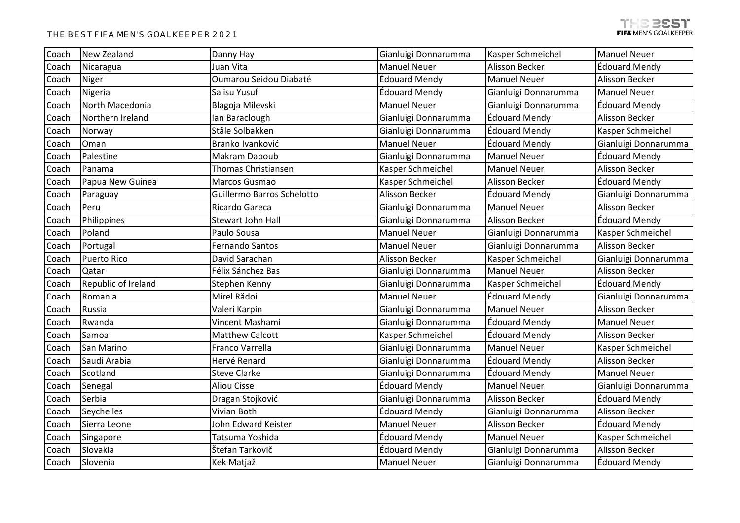| Coach | New Zealand         | Danny Hay                  | Gianluigi Donnarumma | Kasper Schmeichel     | <b>Manuel Neuer</b>   |
|-------|---------------------|----------------------------|----------------------|-----------------------|-----------------------|
| Coach | Nicaragua           | Juan Vita                  | <b>Manuel Neuer</b>  | Alisson Becker        | Édouard Mendy         |
| Coach | Niger               | Oumarou Seidou Diabaté     | Édouard Mendy        | <b>Manuel Neuer</b>   | <b>Alisson Becker</b> |
| Coach | Nigeria             | Salisu Yusuf               | Édouard Mendy        | Gianluigi Donnarumma  | <b>Manuel Neuer</b>   |
| Coach | North Macedonia     | Blagoja Milevski           | <b>Manuel Neuer</b>  | Gianluigi Donnarumma  | Édouard Mendy         |
| Coach | Northern Ireland    | Ian Baraclough             | Gianluigi Donnarumma | <b>Édouard Mendy</b>  | Alisson Becker        |
| Coach | Norway              | Ståle Solbakken            | Gianluigi Donnarumma | <b>Édouard Mendy</b>  | Kasper Schmeichel     |
| Coach | Oman                | Branko Ivanković           | <b>Manuel Neuer</b>  | Édouard Mendy         | Gianluigi Donnarumma  |
| Coach | Palestine           | Makram Daboub              | Gianluigi Donnarumma | <b>Manuel Neuer</b>   | Édouard Mendy         |
| Coach | Panama              | <b>Thomas Christiansen</b> | Kasper Schmeichel    | <b>Manuel Neuer</b>   | Alisson Becker        |
| Coach | Papua New Guinea    | Marcos Gusmao              | Kasper Schmeichel    | Alisson Becker        | <b>Édouard Mendy</b>  |
| Coach | Paraguay            | Guillermo Barros Schelotto | Alisson Becker       | Édouard Mendy         | Gianluigi Donnarumma  |
| Coach | Peru                | Ricardo Gareca             | Gianluigi Donnarumma | <b>Manuel Neuer</b>   | Alisson Becker        |
| Coach | Philippines         | <b>Stewart John Hall</b>   | Gianluigi Donnarumma | <b>Alisson Becker</b> | Édouard Mendy         |
| Coach | Poland              | Paulo Sousa                | <b>Manuel Neuer</b>  | Gianluigi Donnarumma  | Kasper Schmeichel     |
| Coach | Portugal            | <b>Fernando Santos</b>     | <b>Manuel Neuer</b>  | Gianluigi Donnarumma  | Alisson Becker        |
| Coach | <b>Puerto Rico</b>  | David Sarachan             | Alisson Becker       | Kasper Schmeichel     | Gianluigi Donnarumma  |
| Coach | Qatar               | Félix Sánchez Bas          | Gianluigi Donnarumma | <b>Manuel Neuer</b>   | Alisson Becker        |
| Coach | Republic of Ireland | Stephen Kenny              | Gianluigi Donnarumma | Kasper Schmeichel     | Édouard Mendy         |
| Coach | Romania             | Mirel Rădoi                | <b>Manuel Neuer</b>  | <b>Édouard Mendy</b>  | Gianluigi Donnarumma  |
| Coach | Russia              | Valeri Karpin              | Gianluigi Donnarumma | <b>Manuel Neuer</b>   | <b>Alisson Becker</b> |
| Coach | Rwanda              | Vincent Mashami            | Gianluigi Donnarumma | <b>Édouard Mendy</b>  | <b>Manuel Neuer</b>   |
| Coach | Samoa               | Matthew Calcott            | Kasper Schmeichel    | Édouard Mendy         | Alisson Becker        |
| Coach | San Marino          | Franco Varrella            | Gianluigi Donnarumma | <b>Manuel Neuer</b>   | Kasper Schmeichel     |
| Coach | Saudi Arabia        | Hervé Renard               | Gianluigi Donnarumma | <b>Édouard Mendy</b>  | Alisson Becker        |
| Coach | Scotland            | <b>Steve Clarke</b>        | Gianluigi Donnarumma | <b>Édouard Mendy</b>  | <b>Manuel Neuer</b>   |
| Coach | Senegal             | <b>Aliou Cisse</b>         | Édouard Mendy        | <b>Manuel Neuer</b>   | Gianluigi Donnarumma  |
| Coach | Serbia              | Dragan Stojković           | Gianluigi Donnarumma | <b>Alisson Becker</b> | Édouard Mendy         |
| Coach | Seychelles          | Vivian Both                | Édouard Mendy        | Gianluigi Donnarumma  | Alisson Becker        |
| Coach | Sierra Leone        | John Edward Keister        | <b>Manuel Neuer</b>  | Alisson Becker        | <b>Édouard Mendy</b>  |
| Coach | Singapore           | Tatsuma Yoshida            | Édouard Mendy        | <b>Manuel Neuer</b>   | Kasper Schmeichel     |
| Coach | Slovakia            | Štefan Tarkovič            | Édouard Mendy        | Gianluigi Donnarumma  | Alisson Becker        |
| Coach | Slovenia            | Kek Matjaž                 | <b>Manuel Neuer</b>  | Gianluigi Donnarumma  | Édouard Mendy         |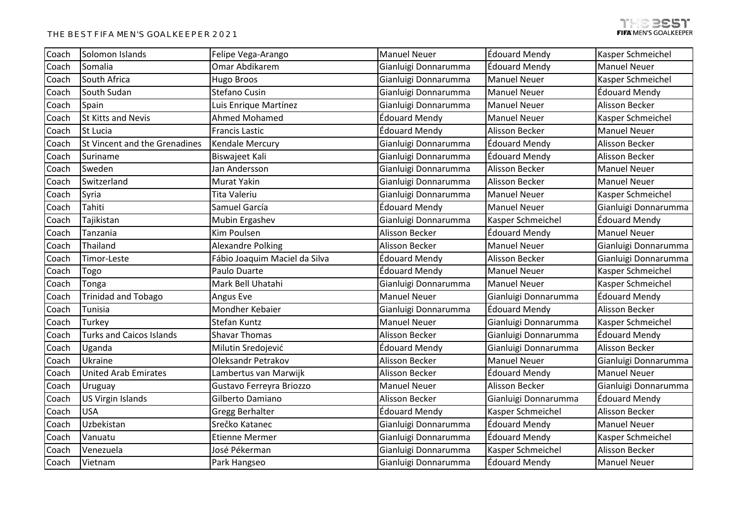| Coach | Solomon Islands                 | Felipe Vega-Arango            | <b>Manuel Neuer</b>  | <b>Édouard Mendy</b>  | Kasper Schmeichel     |
|-------|---------------------------------|-------------------------------|----------------------|-----------------------|-----------------------|
| Coach | Somalia                         | Omar Abdikarem                | Gianluigi Donnarumma | Édouard Mendy         | <b>Manuel Neuer</b>   |
| Coach | South Africa                    | Hugo Broos                    | Gianluigi Donnarumma | <b>Manuel Neuer</b>   | Kasper Schmeichel     |
| Coach | South Sudan                     | Stefano Cusin                 | Gianluigi Donnarumma | <b>Manuel Neuer</b>   | Édouard Mendy         |
| Coach | Spain                           | Luis Enrique Martínez         | Gianluigi Donnarumma | <b>Manuel Neuer</b>   | <b>Alisson Becker</b> |
| Coach | St Kitts and Nevis              | Ahmed Mohamed                 | Édouard Mendy        | <b>Manuel Neuer</b>   | Kasper Schmeichel     |
| Coach | St Lucia                        | <b>Francis Lastic</b>         | Édouard Mendy        | Alisson Becker        | <b>Manuel Neuer</b>   |
| Coach | St Vincent and the Grenadines   | Kendale Mercury               | Gianluigi Donnarumma | <b>Édouard Mendy</b>  | Alisson Becker        |
| Coach | Suriname                        | Biswajeet Kali                | Gianluigi Donnarumma | Édouard Mendy         | <b>Alisson Becker</b> |
| Coach | Sweden                          | Jan Andersson                 | Gianluigi Donnarumma | <b>Alisson Becker</b> | <b>Manuel Neuer</b>   |
| Coach | Switzerland                     | Murat Yakin                   | Gianluigi Donnarumma | Alisson Becker        | <b>Manuel Neuer</b>   |
| Coach | Syria                           | Tita Valeriu                  | Gianluigi Donnarumma | <b>Manuel Neuer</b>   | Kasper Schmeichel     |
| Coach | Tahiti                          | Samuel García                 | Édouard Mendy        | <b>Manuel Neuer</b>   | Gianluigi Donnarumma  |
| Coach | Tajikistan                      | Mubin Ergashev                | Gianluigi Donnarumma | Kasper Schmeichel     | Édouard Mendy         |
| Coach | Tanzania                        | Kim Poulsen                   | Alisson Becker       | Édouard Mendy         | <b>Manuel Neuer</b>   |
| Coach | Thailand                        | <b>Alexandre Polking</b>      | Alisson Becker       | <b>Manuel Neuer</b>   | Gianluigi Donnarumma  |
| Coach | Timor-Leste                     | Fábio Joaquim Maciel da Silva | Édouard Mendy        | Alisson Becker        | Gianluigi Donnarumma  |
| Coach | Togo                            | Paulo Duarte                  | Édouard Mendy        | <b>Manuel Neuer</b>   | Kasper Schmeichel     |
| Coach | Tonga                           | Mark Bell Uhatahi             | Gianluigi Donnarumma | <b>Manuel Neuer</b>   | Kasper Schmeichel     |
| Coach | Trinidad and Tobago             | Angus Eve                     | <b>Manuel Neuer</b>  | Gianluigi Donnarumma  | Édouard Mendy         |
| Coach | Tunisia                         | Mondher Kebaier               | Gianluigi Donnarumma | Édouard Mendy         | <b>Alisson Becker</b> |
| Coach | Turkey                          | Stefan Kuntz                  | <b>Manuel Neuer</b>  | Gianluigi Donnarumma  | Kasper Schmeichel     |
| Coach | <b>Turks and Caicos Islands</b> | <b>Shavar Thomas</b>          | Alisson Becker       | Gianluigi Donnarumma  | Édouard Mendy         |
| Coach | Uganda                          | Milutin Sredojević            | Édouard Mendy        | Gianluigi Donnarumma  | Alisson Becker        |
| Coach | Ukraine                         | <b>Oleksandr Petrakov</b>     | Alisson Becker       | <b>Manuel Neuer</b>   | Gianluigi Donnarumma  |
| Coach | <b>United Arab Emirates</b>     | Lambertus van Marwijk         | Alisson Becker       | Édouard Mendy         | <b>Manuel Neuer</b>   |
| Coach | Uruguay                         | Gustavo Ferreyra Briozzo      | <b>Manuel Neuer</b>  | Alisson Becker        | Gianluigi Donnarumma  |
| Coach | <b>US Virgin Islands</b>        | Gilberto Damiano              | Alisson Becker       | Gianluigi Donnarumma  | Édouard Mendy         |
| Coach | <b>USA</b>                      | Gregg Berhalter               | Édouard Mendy        | Kasper Schmeichel     | Alisson Becker        |
| Coach | Uzbekistan                      | Srečko Katanec                | Gianluigi Donnarumma | <b>Édouard Mendy</b>  | <b>Manuel Neuer</b>   |
| Coach | Vanuatu                         | <b>Etienne Mermer</b>         | Gianluigi Donnarumma | <b>Édouard Mendy</b>  | Kasper Schmeichel     |
| Coach | Venezuela                       | José Pékerman                 | Gianluigi Donnarumma | Kasper Schmeichel     | Alisson Becker        |
| Coach | Vietnam                         | Park Hangseo                  | Gianluigi Donnarumma | <b>Édouard Mendy</b>  | <b>Manuel Neuer</b>   |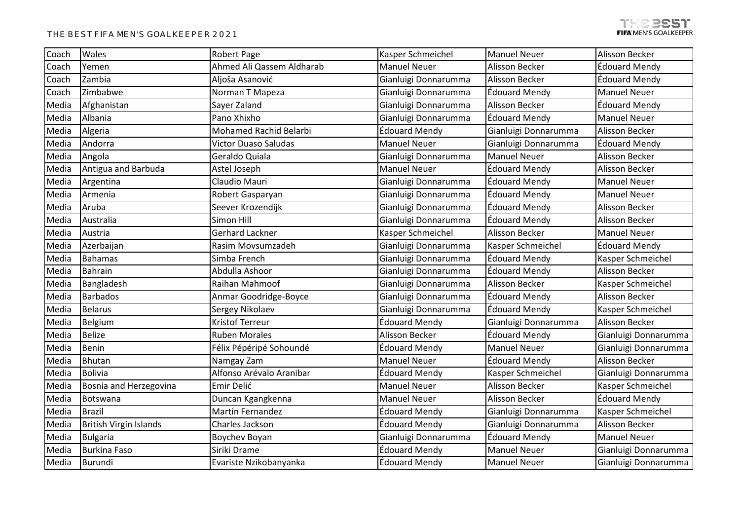| Coach | Wales                         | Robert Page                 | Kasper Schmeichel    | <b>Manuel Neuer</b>   | <b>Alisson Becker</b> |
|-------|-------------------------------|-----------------------------|----------------------|-----------------------|-----------------------|
| Coach | Yemen                         | Ahmed Ali Qassem Aldharab   | <b>Manuel Neuer</b>  | Alisson Becker        | Édouard Mendy         |
| Coach | Zambia                        | Aljoša Asanović             | Gianluigi Donnarumma | <b>Alisson Becker</b> | Édouard Mendy         |
| Coach | Zimbabwe                      | Norman T Mapeza             | Gianluigi Donnarumma | Édouard Mendy         | <b>Manuel Neuer</b>   |
| Media | Afghanistan                   | Sayer Zaland                | Gianluigi Donnarumma | Alisson Becker        | Édouard Mendy         |
| Media | Albania                       | Pano Xhixho                 | Gianluigi Donnarumma | <b>Édouard Mendy</b>  | <b>Manuel Neuer</b>   |
| Media | Algeria                       | Mohamed Rachid Belarbi      | Édouard Mendy        | Gianluigi Donnarumma  | Alisson Becker        |
| Media | Andorra                       | <b>Victor Duaso Saludas</b> | <b>Manuel Neuer</b>  | Gianluigi Donnarumma  | Édouard Mendy         |
| Media | Angola                        | Geraldo Quiala              | Gianluigi Donnarumma | <b>Manuel Neuer</b>   | Alisson Becker        |
| Media | Antigua and Barbuda           | Astel Joseph                | <b>Manuel Neuer</b>  | Édouard Mendy         | Alisson Becker        |
| Media | Argentina                     | Claudio Mauri               | Gianluigi Donnarumma | <b>Édouard Mendy</b>  | <b>Manuel Neuer</b>   |
| Media | Armenia                       | Robert Gasparyan            | Gianluigi Donnarumma | Édouard Mendy         | <b>Manuel Neuer</b>   |
| Media | Aruba                         | Seever Krozendijk           | Gianluigi Donnarumma | <b>Édouard Mendy</b>  | Alisson Becker        |
| Media | Australia                     | Simon Hill                  | Gianluigi Donnarumma | <b>Édouard Mendy</b>  | <b>Alisson Becker</b> |
| Media | Austria                       | Gerhard Lackner             | Kasper Schmeichel    | Alisson Becker        | <b>Manuel Neuer</b>   |
| Media | Azerbaijan                    | Rasim Movsumzadeh           | Gianluigi Donnarumma | Kasper Schmeichel     | Édouard Mendy         |
| Media | <b>Bahamas</b>                | Simba French                | Gianluigi Donnarumma | Édouard Mendy         | Kasper Schmeichel     |
| Media | Bahrain                       | Abdulla Ashoor              | Gianluigi Donnarumma | Édouard Mendy         | Alisson Becker        |
| Media | Bangladesh                    | Raihan Mahmoof              | Gianluigi Donnarumma | Alisson Becker        | Kasper Schmeichel     |
| Media | <b>Barbados</b>               | Anmar Goodridge-Boyce       | Gianluigi Donnarumma | Édouard Mendy         | <b>Alisson Becker</b> |
| Media | <b>Belarus</b>                | Sergey Nikolaev             | Gianluigi Donnarumma | Édouard Mendy         | Kasper Schmeichel     |
| Media | Belgium                       | <b>Kristof Terreur</b>      | Édouard Mendy        | Gianluigi Donnarumma  | Alisson Becker        |
| Media | <b>Belize</b>                 | <b>Ruben Morales</b>        | Alisson Becker       | <b>Édouard Mendy</b>  | Gianluigi Donnarumma  |
| Media | Benin                         | Félix Pépéripé Sohoundé     | Édouard Mendy        | <b>Manuel Neuer</b>   | Gianluigi Donnarumma  |
| Media | <b>Bhutan</b>                 | Namgay Zam                  | <b>Manuel Neuer</b>  | Édouard Mendy         | Alisson Becker        |
| Media | Bolivia                       | Alfonso Arévalo Aranibar    | Édouard Mendy        | Kasper Schmeichel     | Gianluigi Donnarumma  |
| Media | Bosnia and Herzegovina        | Emir Delić                  | <b>Manuel Neuer</b>  | Alisson Becker        | Kasper Schmeichel     |
| Media | Botswana                      | Duncan Kgangkenna           | <b>Manuel Neuer</b>  | <b>Alisson Becker</b> | Édouard Mendy         |
| Media | <b>Brazil</b>                 | Martín Fernandez            | Édouard Mendy        | Gianluigi Donnarumma  | Kasper Schmeichel     |
| Media | <b>British Virgin Islands</b> | Charles Jackson             | Édouard Mendy        | Gianluigi Donnarumma  | Alisson Becker        |
| Media | <b>Bulgaria</b>               | Boychev Boyan               | Gianluigi Donnarumma | Édouard Mendy         | <b>Manuel Neuer</b>   |
| Media | <b>Burkina Faso</b>           | Siriki Drame                | Édouard Mendy        | <b>Manuel Neuer</b>   | Gianluigi Donnarumma  |
| Media | Burundi                       | Evariste Nzikobanyanka      | Édouard Mendy        | <b>Manuel Neuer</b>   | Gianluigi Donnarumma  |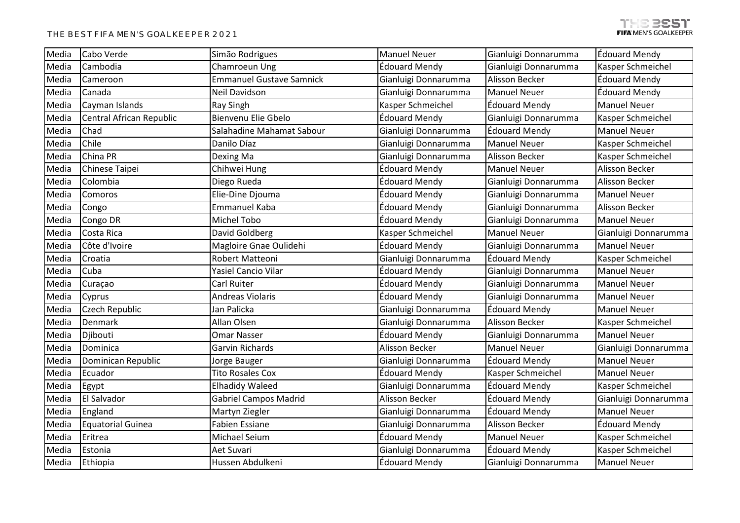| Media | Cabo Verde               | Simão Rodrigues                 | <b>Manuel Neuer</b>  | Gianluigi Donnarumma | Édouard Mendy        |
|-------|--------------------------|---------------------------------|----------------------|----------------------|----------------------|
| Media | Cambodia                 | Chamroeun Ung                   | Édouard Mendy        | Gianluigi Donnarumma | Kasper Schmeichel    |
| Media | Cameroon                 | <b>Emmanuel Gustave Samnick</b> | Gianluigi Donnarumma | Alisson Becker       | Édouard Mendy        |
| Media | Canada                   | Neil Davidson                   | Gianluigi Donnarumma | <b>Manuel Neuer</b>  | Édouard Mendy        |
| Media | Cayman Islands           | Ray Singh                       | Kasper Schmeichel    | Édouard Mendy        | <b>Manuel Neuer</b>  |
| Media | Central African Republic | Bienvenu Elie Gbelo             | Édouard Mendy        | Gianluigi Donnarumma | Kasper Schmeichel    |
| Media | Chad                     | Salahadine Mahamat Sabour       | Gianluigi Donnarumma | Édouard Mendy        | <b>Manuel Neuer</b>  |
| Media | Chile                    | Danilo Díaz                     | Gianluigi Donnarumma | <b>Manuel Neuer</b>  | Kasper Schmeichel    |
| Media | China PR                 | Dexing Ma                       | Gianluigi Donnarumma | Alisson Becker       | Kasper Schmeichel    |
| Media | Chinese Taipei           | Chihwei Hung                    | Édouard Mendy        | <b>Manuel Neuer</b>  | Alisson Becker       |
| Media | Colombia                 | Diego Rueda                     | Édouard Mendy        | Gianluigi Donnarumma | Alisson Becker       |
| Media | Comoros                  | Elie-Dine Djouma                | Édouard Mendy        | Gianluigi Donnarumma | <b>Manuel Neuer</b>  |
| Media | Congo                    | Emmanuel Kaba                   | Édouard Mendy        | Gianluigi Donnarumma | Alisson Becker       |
| Media | Congo DR                 | Michel Tobo                     | Édouard Mendy        | Gianluigi Donnarumma | <b>Manuel Neuer</b>  |
| Media | Costa Rica               | David Goldberg                  | Kasper Schmeichel    | <b>Manuel Neuer</b>  | Gianluigi Donnarumma |
| Media | Côte d'Ivoire            | Magloire Gnae Oulidehi          | Édouard Mendy        | Gianluigi Donnarumma | <b>Manuel Neuer</b>  |
| Media | Croatia                  | Robert Matteoni                 | Gianluigi Donnarumma | Édouard Mendy        | Kasper Schmeichel    |
| Media | Cuba                     | <b>Yasiel Cancio Vilar</b>      | Édouard Mendy        | Gianluigi Donnarumma | <b>Manuel Neuer</b>  |
| Media | Curaçao                  | Carl Ruiter                     | Édouard Mendy        | Gianluigi Donnarumma | <b>Manuel Neuer</b>  |
| Media | Cyprus                   | <b>Andreas Violaris</b>         | Édouard Mendy        | Gianluigi Donnarumma | <b>Manuel Neuer</b>  |
| Media | Czech Republic           | Jan Palicka                     | Gianluigi Donnarumma | Édouard Mendy        | <b>Manuel Neuer</b>  |
| Media | Denmark                  | Allan Olsen                     | Gianluigi Donnarumma | Alisson Becker       | Kasper Schmeichel    |
| Media | Djibouti                 | <b>Omar Nasser</b>              | Édouard Mendy        | Gianluigi Donnarumma | <b>Manuel Neuer</b>  |
| Media | Dominica                 | Garvin Richards                 | Alisson Becker       | <b>Manuel Neuer</b>  | Gianluigi Donnarumma |
| Media | Dominican Republic       | Jorge Bauger                    | Gianluigi Donnarumma | Édouard Mendy        | <b>Manuel Neuer</b>  |
| Media | Ecuador                  | <b>Tito Rosales Cox</b>         | <b>Édouard Mendy</b> | Kasper Schmeichel    | <b>Manuel Neuer</b>  |
| Media | Egypt                    | <b>Elhadidy Waleed</b>          | Gianluigi Donnarumma | <b>Édouard Mendy</b> | Kasper Schmeichel    |
| Media | El Salvador              | <b>Gabriel Campos Madrid</b>    | Alisson Becker       | Édouard Mendy        | Gianluigi Donnarumma |
| Media | England                  | Martyn Ziegler                  | Gianluigi Donnarumma | <b>Édouard Mendy</b> | <b>Manuel Neuer</b>  |
| Media | <b>Equatorial Guinea</b> | <b>Fabien Essiane</b>           | Gianluigi Donnarumma | Alisson Becker       | Édouard Mendy        |
| Media | Eritrea                  | Michael Seium                   | Édouard Mendy        | <b>Manuel Neuer</b>  | Kasper Schmeichel    |
| Media | Estonia                  | Aet Suvari                      | Gianluigi Donnarumma | Édouard Mendy        | Kasper Schmeichel    |
| Media | Ethiopia                 | Hussen Abdulkeni                | Édouard Mendy        | Gianluigi Donnarumma | <b>Manuel Neuer</b>  |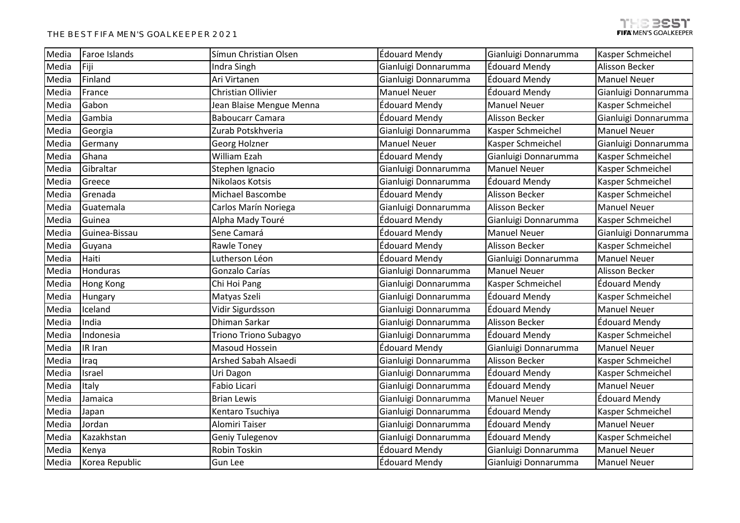| Media | Faroe Islands  | Símun Christian Olsen    | Édouard Mendy        | Gianluigi Donnarumma  | Kasper Schmeichel    |
|-------|----------------|--------------------------|----------------------|-----------------------|----------------------|
| Media | Fiji           | Indra Singh              | Gianluigi Donnarumma | <b>Édouard Mendy</b>  | Alisson Becker       |
| Media | Finland        | Ari Virtanen             | Gianluigi Donnarumma | <b>Édouard Mendy</b>  | <b>Manuel Neuer</b>  |
| Media | France         | Christian Ollivier       | <b>Manuel Neuer</b>  | Édouard Mendy         | Gianluigi Donnarumma |
| Media | Gabon          | Jean Blaise Mengue Menna | Édouard Mendy        | <b>Manuel Neuer</b>   | Kasper Schmeichel    |
| Media | Gambia         | <b>Baboucarr Camara</b>  | Édouard Mendy        | <b>Alisson Becker</b> | Gianluigi Donnarumma |
| Media | Georgia        | Zurab Potskhveria        | Gianluigi Donnarumma | Kasper Schmeichel     | <b>Manuel Neuer</b>  |
| Media | Germany        | Georg Holzner            | <b>Manuel Neuer</b>  | Kasper Schmeichel     | Gianluigi Donnarumma |
| Media | Ghana          | William Ezah             | Édouard Mendy        | Gianluigi Donnarumma  | Kasper Schmeichel    |
| Media | Gibraltar      | Stephen Ignacio          | Gianluigi Donnarumma | <b>Manuel Neuer</b>   | Kasper Schmeichel    |
| Media | Greece         | Nikolaos Kotsis          | Gianluigi Donnarumma | <b>Édouard Mendy</b>  | Kasper Schmeichel    |
| Media | Grenada        | Michael Bascombe         | Édouard Mendy        | <b>Alisson Becker</b> | Kasper Schmeichel    |
| Media | Guatemala      | Carlos Marín Noriega     | Gianluigi Donnarumma | <b>Alisson Becker</b> | <b>Manuel Neuer</b>  |
| Media | Guinea         | Alpha Mady Touré         | Édouard Mendy        | Gianluigi Donnarumma  | Kasper Schmeichel    |
| Media | Guinea-Bissau  | Sene Camará              | Édouard Mendy        | <b>Manuel Neuer</b>   | Gianluigi Donnarumma |
| Media | Guyana         | Rawle Toney              | Édouard Mendy        | <b>Alisson Becker</b> | Kasper Schmeichel    |
| Media | Haiti          | Lutherson Léon           | Édouard Mendy        | Gianluigi Donnarumma  | <b>Manuel Neuer</b>  |
| Media | Honduras       | Gonzalo Carías           | Gianluigi Donnarumma | <b>Manuel Neuer</b>   | Alisson Becker       |
| Media | Hong Kong      | Chi Hoi Pang             | Gianluigi Donnarumma | Kasper Schmeichel     | Édouard Mendy        |
| Media | Hungary        | Matyas Szeli             | Gianluigi Donnarumma | <b>Édouard Mendy</b>  | Kasper Schmeichel    |
| Media | Iceland        | Vidir Sigurdsson         | Gianluigi Donnarumma | Édouard Mendy         | <b>Manuel Neuer</b>  |
| Media | India          | Dhiman Sarkar            | Gianluigi Donnarumma | <b>Alisson Becker</b> | <b>Édouard Mendy</b> |
| Media | Indonesia      | Triono Triono Subagyo    | Gianluigi Donnarumma | Édouard Mendy         | Kasper Schmeichel    |
| Media | IR Iran        | Masoud Hossein           | Édouard Mendy        | Gianluigi Donnarumma  | <b>Manuel Neuer</b>  |
| Media | Iraq           | Arshed Sabah Alsaedi     | Gianluigi Donnarumma | <b>Alisson Becker</b> | Kasper Schmeichel    |
| Media | Israel         | Uri Dagon                | Gianluigi Donnarumma | <b>Édouard Mendy</b>  | Kasper Schmeichel    |
| Media | Italy          | Fabio Licari             | Gianluigi Donnarumma | Édouard Mendy         | <b>Manuel Neuer</b>  |
| Media | Jamaica        | <b>Brian Lewis</b>       | Gianluigi Donnarumma | <b>Manuel Neuer</b>   | Édouard Mendy        |
| Media | Japan          | Kentaro Tsuchiya         | Gianluigi Donnarumma | <b>Édouard Mendy</b>  | Kasper Schmeichel    |
| Media | Jordan         | Alomiri Taiser           | Gianluigi Donnarumma | Édouard Mendy         | <b>Manuel Neuer</b>  |
| Media | Kazakhstan     | Geniy Tulegenov          | Gianluigi Donnarumma | <b>Édouard Mendy</b>  | Kasper Schmeichel    |
| Media | Kenya          | Robin Toskin             | Édouard Mendy        | Gianluigi Donnarumma  | <b>Manuel Neuer</b>  |
| Media | Korea Republic | Gun Lee                  | Édouard Mendy        | Gianluigi Donnarumma  | <b>Manuel Neuer</b>  |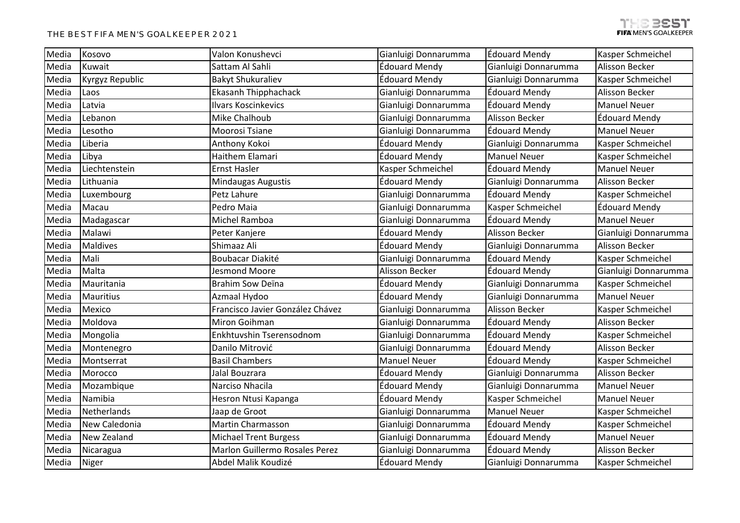| Media | Kosovo          | Valon Konushevci                 | Gianluigi Donnarumma | <b>Édouard Mendy</b>  | Kasper Schmeichel        |
|-------|-----------------|----------------------------------|----------------------|-----------------------|--------------------------|
| Media | Kuwait          | Sattam Al Sahli                  | Édouard Mendy        | Gianluigi Donnarumma  | Alisson Becker           |
| Media | Kyrgyz Republic | <b>Bakyt Shukuraliev</b>         | Édouard Mendy        | Gianluigi Donnarumma  | Kasper Schmeichel        |
| Media | Laos            | Ekasanh Thipphachack             | Gianluigi Donnarumma | Édouard Mendy         | Alisson Becker           |
| Media | Latvia          | <b>Ilvars Koscinkevics</b>       | Gianluigi Donnarumma | <b>Édouard Mendy</b>  | <b>Manuel Neuer</b>      |
| Media | Lebanon         | Mike Chalhoub                    | Gianluigi Donnarumma | <b>Alisson Becker</b> | <b>Édouard Mendy</b>     |
| Media | Lesotho         | Moorosi Tsiane                   | Gianluigi Donnarumma | <b>Édouard Mendy</b>  | <b>Manuel Neuer</b>      |
| Media | Liberia         | Anthony Kokoi                    | Édouard Mendy        | Gianluigi Donnarumma  | Kasper Schmeichel        |
| Media | Libya           | Haithem Elamari                  | Édouard Mendy        | <b>Manuel Neuer</b>   | Kasper Schmeichel        |
| Media | Liechtenstein   | <b>Ernst Hasler</b>              | Kasper Schmeichel    | Édouard Mendy         | <b>Manuel Neuer</b>      |
| Media | Lithuania       | Mindaugas Augustis               | Édouard Mendy        | Gianluigi Donnarumma  | Alisson Becker           |
| Media | Luxembourg      | Petz Lahure                      | Gianluigi Donnarumma | <b>Édouard Mendy</b>  | Kasper Schmeichel        |
| Media | Macau           | Pedro Maia                       | Gianluigi Donnarumma | Kasper Schmeichel     | Édouard Mendy            |
| Media | Madagascar      | Michel Ramboa                    | Gianluigi Donnarumma | <b>Édouard Mendy</b>  | <b>Manuel Neuer</b>      |
| Media | Malawi          | Peter Kanjere                    | Édouard Mendy        | Alisson Becker        | Gianluigi Donnarumma     |
| Media | <b>Maldives</b> | Shimaaz Ali                      | Édouard Mendy        | Gianluigi Donnarumma  | Alisson Becker           |
| Media | Mali            | Boubacar Diakité                 | Gianluigi Donnarumma | Édouard Mendy         | Kasper Schmeichel        |
| Media | Malta           | Jesmond Moore                    | Alisson Becker       | Édouard Mendy         | Gianluigi Donnarumma     |
| Media | Mauritania      | Brahim Sow Deïna                 | Édouard Mendy        | Gianluigi Donnarumma  | Kasper Schmeichel        |
| Media | Mauritius       | Azmaal Hydoo                     | Édouard Mendy        | Gianluigi Donnarumma  | <b>Manuel Neuer</b>      |
| Media | Mexico          | Francisco Javier González Chávez | Gianluigi Donnarumma | Alisson Becker        | Kasper Schmeichel        |
| Media | Moldova         | Miron Goihman                    | Gianluigi Donnarumma | <b>Édouard Mendy</b>  | Alisson Becker           |
| Media | Mongolia        | Enkhtuvshin Tserensodnom         | Gianluigi Donnarumma | Édouard Mendy         | Kasper Schmeichel        |
| Media | Montenegro      | Danilo Mitrović                  | Gianluigi Donnarumma | Édouard Mendy         | <b>Alisson Becker</b>    |
| Media | Montserrat      | <b>Basil Chambers</b>            | <b>Manuel Neuer</b>  | Édouard Mendy         | Kasper Schmeichel        |
| Media | Morocco         | Jalal Bouzrara                   | Édouard Mendy        | Gianluigi Donnarumma  | Alisson Becker           |
| Media | Mozambique      | Narciso Nhacila                  | Édouard Mendy        | Gianluigi Donnarumma  | <b>Manuel Neuer</b>      |
| Media | Namibia         | Hesron Ntusi Kapanga             | Édouard Mendy        | Kasper Schmeichel     | <b>Manuel Neuer</b>      |
| Media | Netherlands     | Jaap de Groot                    | Gianluigi Donnarumma | <b>Manuel Neuer</b>   | Kasper Schmeichel        |
| Media | New Caledonia   | <b>Martin Charmasson</b>         | Gianluigi Donnarumma | <b>Édouard Mendy</b>  | Kasper Schmeichel        |
| Media | New Zealand     | <b>Michael Trent Burgess</b>     | Gianluigi Donnarumma | <b>Édouard Mendy</b>  | <b>Manuel Neuer</b>      |
| Media | Nicaragua       | Marlon Guillermo Rosales Perez   | Gianluigi Donnarumma | Édouard Mendy         | Alisson Becker           |
| Media | Niger           | Abdel Malik Koudizé              | Édouard Mendy        | Gianluigi Donnarumma  | <b>Kasper Schmeichel</b> |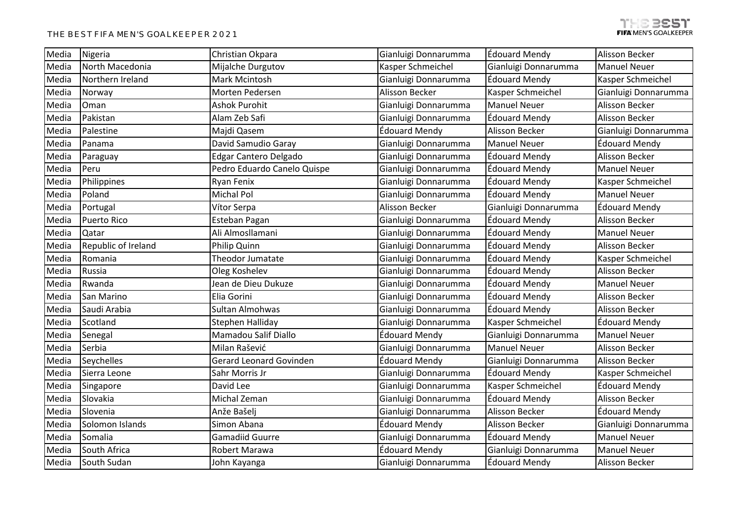| Media | Nigeria             | Christian Okpara               | Gianluigi Donnarumma | Édouard Mendy         | <b>Alisson Becker</b> |
|-------|---------------------|--------------------------------|----------------------|-----------------------|-----------------------|
| Media | North Macedonia     | Mijalche Durgutov              | Kasper Schmeichel    | Gianluigi Donnarumma  | <b>Manuel Neuer</b>   |
| Media | Northern Ireland    | Mark Mcintosh                  | Gianluigi Donnarumma | <b>Édouard Mendy</b>  | Kasper Schmeichel     |
| Media | Norway              | Morten Pedersen                | Alisson Becker       | Kasper Schmeichel     | Gianluigi Donnarumma  |
| Media | Oman                | <b>Ashok Purohit</b>           | Gianluigi Donnarumma | <b>Manuel Neuer</b>   | Alisson Becker        |
| Media | Pakistan            | Alam Zeb Safi                  | Gianluigi Donnarumma | Édouard Mendy         | <b>Alisson Becker</b> |
| Media | Palestine           | Majdi Qasem                    | Édouard Mendy        | Alisson Becker        | Gianluigi Donnarumma  |
| Media | Panama              | David Samudio Garay            | Gianluigi Donnarumma | <b>Manuel Neuer</b>   | Édouard Mendy         |
| Media | Paraguay            | <b>Edgar Cantero Delgado</b>   | Gianluigi Donnarumma | <b>Édouard Mendy</b>  | Alisson Becker        |
| Media | Peru                | Pedro Eduardo Canelo Quispe    | Gianluigi Donnarumma | <b>Édouard Mendy</b>  | <b>Manuel Neuer</b>   |
| Media | Philippines         | Ryan Fenix                     | Gianluigi Donnarumma | <b>Édouard Mendy</b>  | Kasper Schmeichel     |
| Media | Poland              | <b>Michal Pol</b>              | Gianluigi Donnarumma | Édouard Mendy         | <b>Manuel Neuer</b>   |
| Media | Portugal            | Vítor Serpa                    | Alisson Becker       | Gianluigi Donnarumma  | Édouard Mendy         |
| Media | Puerto Rico         | Esteban Pagan                  | Gianluigi Donnarumma | <b>Édouard Mendy</b>  | Alisson Becker        |
| Media | Qatar               | Ali Almosllamani               | Gianluigi Donnarumma | Édouard Mendy         | <b>Manuel Neuer</b>   |
| Media | Republic of Ireland | Philip Quinn                   | Gianluigi Donnarumma | Édouard Mendy         | <b>Alisson Becker</b> |
| Media | Romania             | Theodor Jumatate               | Gianluigi Donnarumma | Édouard Mendy         | Kasper Schmeichel     |
| Media | Russia              | Oleg Koshelev                  | Gianluigi Donnarumma | <b>Édouard Mendy</b>  | Alisson Becker        |
| Media | Rwanda              | Jean de Dieu Dukuze            | Gianluigi Donnarumma | Édouard Mendy         | <b>Manuel Neuer</b>   |
| Media | San Marino          | Elia Gorini                    | Gianluigi Donnarumma | Édouard Mendy         | Alisson Becker        |
| Media | Saudi Arabia        | Sultan Almohwas                | Gianluigi Donnarumma | Édouard Mendy         | Alisson Becker        |
| Media | Scotland            | Stephen Halliday               | Gianluigi Donnarumma | Kasper Schmeichel     | <b>Édouard Mendy</b>  |
| Media | Senegal             | Mamadou Salif Diallo           | Édouard Mendy        | Gianluigi Donnarumma  | <b>Manuel Neuer</b>   |
| Media | Serbia              | Milan Rašević                  | Gianluigi Donnarumma | <b>Manuel Neuer</b>   | Alisson Becker        |
| Media | Seychelles          | <b>Gerard Leonard Govinden</b> | Édouard Mendy        | Gianluigi Donnarumma  | Alisson Becker        |
| Media | Sierra Leone        | Sahr Morris Jr                 | Gianluigi Donnarumma | <b>Édouard Mendy</b>  | Kasper Schmeichel     |
| Media | Singapore           | David Lee                      | Gianluigi Donnarumma | Kasper Schmeichel     | Édouard Mendy         |
| Media | Slovakia            | Michal Zeman                   | Gianluigi Donnarumma | <b>Édouard Mendy</b>  | Alisson Becker        |
| Media | Slovenia            | Anže Bašelj                    | Gianluigi Donnarumma | <b>Alisson Becker</b> | Édouard Mendy         |
| Media | Solomon Islands     | Simon Abana                    | Édouard Mendy        | Alisson Becker        | Gianluigi Donnarumma  |
| Media | Somalia             | Gamadiid Guurre                | Gianluigi Donnarumma | Édouard Mendy         | <b>Manuel Neuer</b>   |
| Media | South Africa        | Robert Marawa                  | Édouard Mendy        | Gianluigi Donnarumma  | <b>Manuel Neuer</b>   |
| Media | South Sudan         | John Kayanga                   | Gianluigi Donnarumma | Édouard Mendy         | <b>Alisson Becker</b> |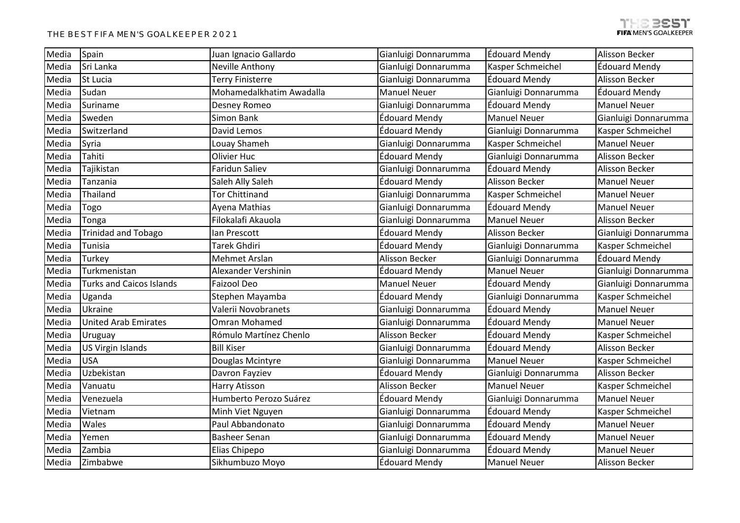| Media | Spain                           | Juan Ignacio Gallardo    | Gianluigi Donnarumma | <b>Édouard Mendy</b> | Alisson Becker        |
|-------|---------------------------------|--------------------------|----------------------|----------------------|-----------------------|
| Media | Sri Lanka                       | Neville Anthony          | Gianluigi Donnarumma | Kasper Schmeichel    | Édouard Mendy         |
| Media | St Lucia                        | Terry Finisterre         | Gianluigi Donnarumma | Édouard Mendy        | Alisson Becker        |
| Media | Sudan                           | Mohamedalkhatim Awadalla | <b>Manuel Neuer</b>  | Gianluigi Donnarumma | Édouard Mendy         |
| Media | Suriname                        | Desney Romeo             | Gianluigi Donnarumma | Édouard Mendy        | <b>Manuel Neuer</b>   |
| Media | Sweden                          | Simon Bank               | Édouard Mendy        | <b>Manuel Neuer</b>  | Gianluigi Donnarumma  |
| Media | Switzerland                     | David Lemos              | Édouard Mendy        | Gianluigi Donnarumma | Kasper Schmeichel     |
| Media | Syria                           | Louay Shameh             | Gianluigi Donnarumma | Kasper Schmeichel    | <b>Manuel Neuer</b>   |
| Media | Tahiti                          | Olivier Huc              | Édouard Mendy        | Gianluigi Donnarumma | <b>Alisson Becker</b> |
| Media | Tajikistan                      | Faridun Saliev           | Gianluigi Donnarumma | <b>Édouard Mendy</b> | Alisson Becker        |
| Media | Tanzania                        | Saleh Ally Saleh         | Édouard Mendy        | Alisson Becker       | <b>Manuel Neuer</b>   |
| Media | Thailand                        | <b>Tor Chittinand</b>    | Gianluigi Donnarumma | Kasper Schmeichel    | <b>Manuel Neuer</b>   |
| Media | Togo                            | Ayena Mathias            | Gianluigi Donnarumma | Édouard Mendy        | <b>Manuel Neuer</b>   |
| Media | Tonga                           | Filokalafi Akauola       | Gianluigi Donnarumma | <b>Manuel Neuer</b>  | Alisson Becker        |
| Media | <b>Trinidad and Tobago</b>      | lan Prescott             | Édouard Mendy        | Alisson Becker       | Gianluigi Donnarumma  |
| Media | Tunisia                         | Tarek Ghdiri             | Édouard Mendy        | Gianluigi Donnarumma | Kasper Schmeichel     |
| Media | Turkey                          | Mehmet Arslan            | Alisson Becker       | Gianluigi Donnarumma | Édouard Mendy         |
| Media | Turkmenistan                    | Alexander Vershinin      | Édouard Mendy        | <b>Manuel Neuer</b>  | Gianluigi Donnarumma  |
| Media | <b>Turks and Caicos Islands</b> | Faizool Deo              | <b>Manuel Neuer</b>  | Édouard Mendy        | Gianluigi Donnarumma  |
| Media | Uganda                          | Stephen Mayamba          | Édouard Mendy        | Gianluigi Donnarumma | Kasper Schmeichel     |
| Media | Ukraine                         | Valerii Novobranets      | Gianluigi Donnarumma | Édouard Mendy        | <b>Manuel Neuer</b>   |
| Media | <b>United Arab Emirates</b>     | Omran Mohamed            | Gianluigi Donnarumma | Édouard Mendy        | <b>Manuel Neuer</b>   |
| Media | Uruguay                         | Rómulo Martínez Chenlo   | Alisson Becker       | Édouard Mendy        | Kasper Schmeichel     |
| Media | <b>US Virgin Islands</b>        | <b>Bill Kiser</b>        | Gianluigi Donnarumma | <b>Édouard Mendy</b> | <b>Alisson Becker</b> |
| Media | <b>USA</b>                      | Douglas Mcintyre         | Gianluigi Donnarumma | <b>Manuel Neuer</b>  | Kasper Schmeichel     |
| Media | Uzbekistan                      | Davron Fayziev           | Édouard Mendy        | Gianluigi Donnarumma | Alisson Becker        |
| Media | Vanuatu                         | Harry Atisson            | Alisson Becker       | <b>Manuel Neuer</b>  | Kasper Schmeichel     |
| Media | Venezuela                       | Humberto Perozo Suárez   | Édouard Mendy        | Gianluigi Donnarumma | <b>Manuel Neuer</b>   |
| Media | Vietnam                         | Minh Viet Nguyen         | Gianluigi Donnarumma | <b>Édouard Mendy</b> | Kasper Schmeichel     |
| Media | Wales                           | Paul Abbandonato         | Gianluigi Donnarumma | Édouard Mendy        | <b>Manuel Neuer</b>   |
| Media | Yemen                           | <b>Basheer Senan</b>     | Gianluigi Donnarumma | Édouard Mendy        | <b>Manuel Neuer</b>   |
| Media | Zambia                          | Elias Chipepo            | Gianluigi Donnarumma | Édouard Mendy        | <b>Manuel Neuer</b>   |
| Media | Zimbabwe                        | Sikhumbuzo Moyo          | Édouard Mendy        | <b>Manuel Neuer</b>  | Alisson Becker        |